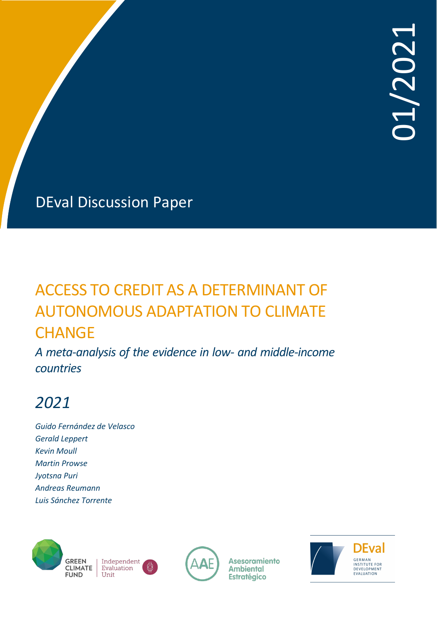# ACCESS TO CREDIT AS A DETERMINANT OF AUTONOMOUS ADAPTATION TO CLIMATE **CHANGE**

*A meta-analysis of the evidence in low- and middle-income countries*

# *2021*

*Guido Fernández de Velasco Gerald Leppert Kevin Moull Martin Prowse Jyotsna Puri Andreas Reumann Luis Sánchez Torrente*





**Asesoramiento Ambiental Estratégico** 

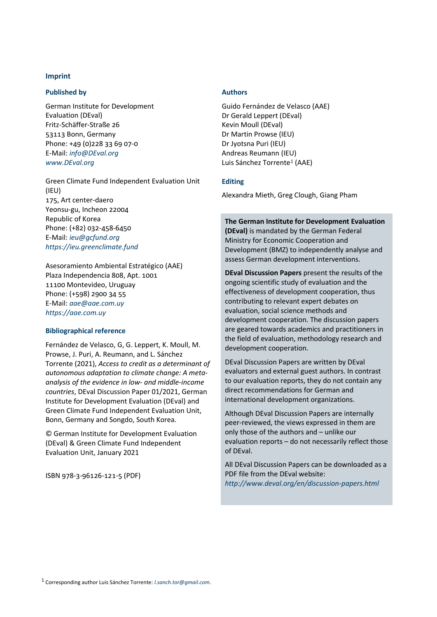### **Imprint**

### **Published by**

German Institute for Development Evaluation (DEval) Fritz-Schäffer-Straße 26 53113 Bonn, Germany Phone: +49 (0)228 33 69 07-0 E-Mail: *[info@DEval.org](mailto:info@DEval.org) [www.DEval.org](http://www.deval.org/)*

Green Climate Fund Independent Evaluation Unit (IEU) 175, Art center-daero Yeonsu-gu, Incheon 22004 Republic of Korea Phone: (+82) 032-458-6450 E-Mail: *[ieu@gcfund.org](mailto:ieu@gcfund.org) [https://ieu.greenclimate.fund](https://ieu.greenclimate.fund/)*

Asesoramiento Ambiental Estratégico (AAE) Plaza Independencia 808, Apt. 1001 11100 Montevideo, Uruguay Phone: (+598) 2900 34 55 E-Mail: *[aae@aae.com.uy](mailto:aae@aae.com.uy) [https://aae.com.uy](https://aae.com.uy/)*

#### **Bibliographical reference**

Fernández de Velasco, G, G. Leppert, K. Moull, M. Prowse, J. Puri, A. Reumann, and L. Sánchez Torrente (2021), *Access to credit as a determinant of autonomous adaptation to climate change: A metaanalysis of the evidence in low- and middle-income countries*, DEval Discussion Paper 01/2021, German Institute for Development Evaluation (DEval) and Green Climate Fund Independent Evaluation Unit, Bonn, Germany and Songdo, South Korea.

© German Institute for Development Evaluation (DEval) & Green Climate Fund Independent Evaluation Unit, January 2021

<span id="page-1-0"></span>ISBN 978-3-96126-121-5 (PDF)

#### **Authors**

Guido Fernández de Velasco (AAE) Dr Gerald Leppert (DEval) Kevin Moull (DEval) Dr Martin Prowse (IEU) Dr Jyotsna Puri (IEU) Andreas Reumann (IEU) Luis Sánchez Torrente[1](#page-1-0) (AAE)

#### **Editing**

Alexandra Mieth, Greg Clough, Giang Pham

#### **The German Institute for Development Evaluation**

**(DEval)** is mandated by the German Federal Ministry for Economic Cooperation and Development (BMZ) to independently analyse and assess German development interventions.

**DEval Discussion Papers** present the results of the ongoing scientific study of evaluation and the effectiveness of development cooperation, thus contributing to relevant expert debates on evaluation, social science methods and development cooperation. The discussion papers are geared towards academics and practitioners in the field of evaluation, methodology research and development cooperation.

DEval Discussion Papers are written by DEval evaluators and external guest authors. In contrast to our evaluation reports, they do not contain any direct recommendations for German and international development organizations.

Although DEval Discussion Papers are internally peer-reviewed, the views expressed in them are only those of the authors and – unlike our evaluation reports – do not necessarily reflect those of DEval.

All DEval Discussion Papers can be downloaded as a PDF file from the DEval website: *<http://www.deval.org/en/discussion-papers.html>*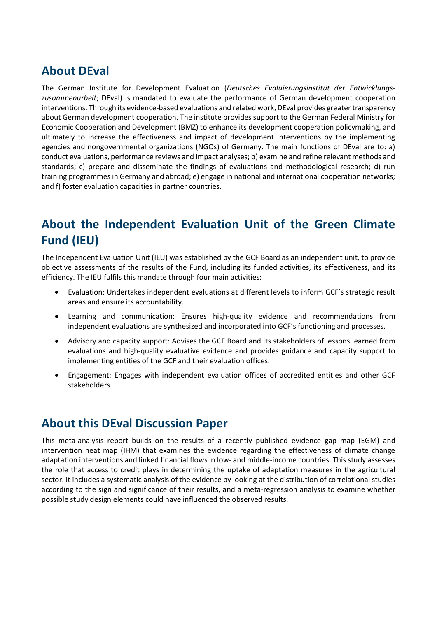## **About DEval**

The German Institute for Development Evaluation (*Deutsches Evaluierungsinstitut der Entwicklungszusammenarbeit*; DEval) is mandated to evaluate the performance of German development cooperation interventions. Through its evidence-based evaluations and related work, DEval provides greater transparency about German development cooperation. The institute provides support to the German Federal Ministry for Economic Cooperation and Development (BMZ) to enhance its development cooperation policymaking, and ultimately to increase the effectiveness and impact of development interventions by the implementing agencies and nongovernmental organizations (NGOs) of Germany. The main functions of DEval are to: a) conduct evaluations, performance reviews and impact analyses; b) examine and refine relevant methods and standards; c) prepare and disseminate the findings of evaluations and methodological research; d) run training programmes in Germany and abroad; e) engage in national and international cooperation networks; and f) foster evaluation capacities in partner countries.

## **About the Independent Evaluation Unit of the Green Climate Fund (IEU)**

The Independent Evaluation Unit (IEU) was established by the GCF Board as an independent unit, to provide objective assessments of the results of the Fund, including its funded activities, its effectiveness, and its efficiency. The IEU fulfils this mandate through four main activities:

- Evaluation: Undertakes independent evaluations at different levels to inform GCF's strategic result areas and ensure its accountability.
- Learning and communication: Ensures high-quality evidence and recommendations from independent evaluations are synthesized and incorporated into GCF's functioning and processes.
- Advisory and capacity support: Advises the GCF Board and its stakeholders of lessons learned from evaluations and high-quality evaluative evidence and provides guidance and capacity support to implementing entities of the GCF and their evaluation offices.
- Engagement: Engages with independent evaluation offices of accredited entities and other GCF stakeholders.

## **About this DEval Discussion Paper**

This meta-analysis report builds on the results of a recently published evidence gap map (EGM) and intervention heat map (IHM) that examines the evidence regarding the effectiveness of climate change adaptation interventions and linked financial flows in low- and middle-income countries. This study assesses the role that access to credit plays in determining the uptake of adaptation measures in the agricultural sector. It includes a systematic analysis of the evidence by looking at the distribution of correlational studies according to the sign and significance of their results, and a meta-regression analysis to examine whether possible study design elements could have influenced the observed results.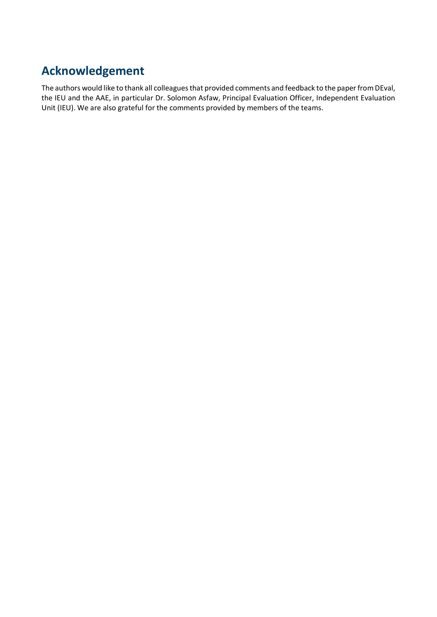## **Acknowledgement**

The authors would like to thank all colleagues that provided comments and feedback to the paper from DEval, the IEU and the AAE, in particular Dr. Solomon Asfaw, Principal Evaluation Officer, Independent Evaluation Unit (IEU). We are also grateful for the comments provided by members of the teams.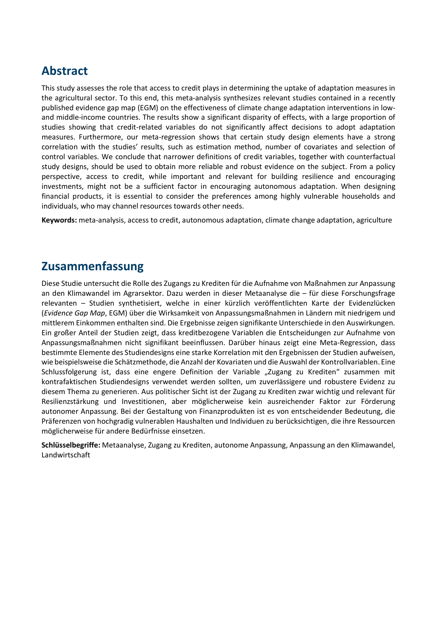## **Abstract**

This study assesses the role that access to credit plays in determining the uptake of adaptation measures in the agricultural sector. To this end, this meta-analysis synthesizes relevant studies contained in a recently published evidence gap map (EGM) on the effectiveness of climate change adaptation interventions in lowand middle-income countries. The results show a significant disparity of effects, with a large proportion of studies showing that credit-related variables do not significantly affect decisions to adopt adaptation measures. Furthermore, our meta-regression shows that certain study design elements have a strong correlation with the studies' results, such as estimation method, number of covariates and selection of control variables. We conclude that narrower definitions of credit variables, together with counterfactual study designs, should be used to obtain more reliable and robust evidence on the subject. From a policy perspective, access to credit, while important and relevant for building resilience and encouraging investments, might not be a sufficient factor in encouraging autonomous adaptation. When designing financial products, it is essential to consider the preferences among highly vulnerable households and individuals, who may channel resources towards other needs.

**Keywords:** meta-analysis, access to credit, autonomous adaptation, climate change adaptation, agriculture

## **Zusammenfassung**

Diese Studie untersucht die Rolle des Zugangs zu Krediten für die Aufnahme von Maßnahmen zur Anpassung an den Klimawandel im Agrarsektor. Dazu werden in dieser Metaanalyse die – für diese Forschungsfrage relevanten – Studien synthetisiert, welche in einer kürzlich veröffentlichten Karte der Evidenzlücken (*Evidence Gap Map*, EGM) über die Wirksamkeit von Anpassungsmaßnahmen in Ländern mit niedrigem und mittlerem Einkommen enthalten sind. Die Ergebnisse zeigen signifikante Unterschiede in den Auswirkungen. Ein großer Anteil der Studien zeigt, dass kreditbezogene Variablen die Entscheidungen zur Aufnahme von Anpassungsmaßnahmen nicht signifikant beeinflussen. Darüber hinaus zeigt eine Meta-Regression, dass bestimmte Elemente des Studiendesigns eine starke Korrelation mit den Ergebnissen der Studien aufweisen, wie beispielsweise die Schätzmethode, die Anzahl der Kovariaten und die Auswahl der Kontrollvariablen. Eine Schlussfolgerung ist, dass eine engere Definition der Variable "Zugang zu Krediten" zusammen mit kontrafaktischen Studiendesigns verwendet werden sollten, um zuverlässigere und robustere Evidenz zu diesem Thema zu generieren. Aus politischer Sicht ist der Zugang zu Krediten zwar wichtig und relevant für Resilienzstärkung und Investitionen, aber möglicherweise kein ausreichender Faktor zur Förderung autonomer Anpassung. Bei der Gestaltung von Finanzprodukten ist es von entscheidender Bedeutung, die Präferenzen von hochgradig vulnerablen Haushalten und Individuen zu berücksichtigen, die ihre Ressourcen möglicherweise für andere Bedürfnisse einsetzen.

**Schlüsselbegriffe:** Metaanalyse, Zugang zu Krediten, autonome Anpassung, Anpassung an den Klimawandel, Landwirtschaft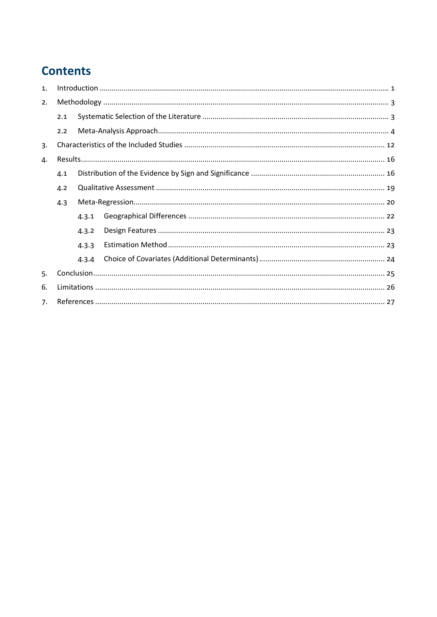## **Contents**

| 1 <sub>1</sub> |     |       |  |  |
|----------------|-----|-------|--|--|
| 2.             |     |       |  |  |
|                | 2.1 |       |  |  |
|                | 2.2 |       |  |  |
| 3.             |     |       |  |  |
| 4.             |     |       |  |  |
| 4.1            |     |       |  |  |
|                | 4.2 |       |  |  |
|                | 4.3 |       |  |  |
|                |     | 4.3.1 |  |  |
|                |     | 4.3.2 |  |  |
|                |     | 4.3.3 |  |  |
|                |     | 4.3.4 |  |  |
| 5.             |     |       |  |  |
| 6.             |     |       |  |  |
| 7.             |     |       |  |  |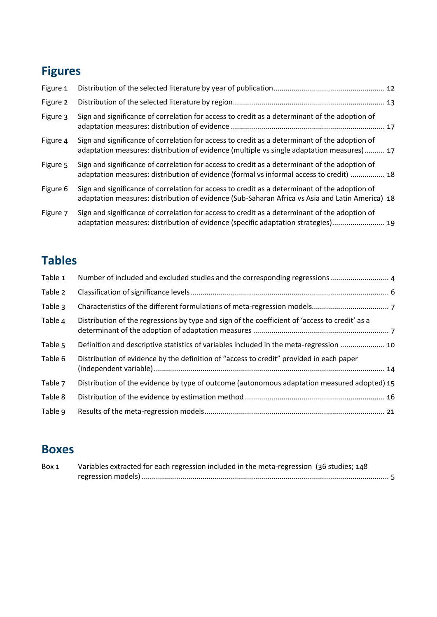## **Figures**

| Figure 1 |                                                                                                                                                                                                  |  |
|----------|--------------------------------------------------------------------------------------------------------------------------------------------------------------------------------------------------|--|
| Figure 2 |                                                                                                                                                                                                  |  |
| Figure 3 | Sign and significance of correlation for access to credit as a determinant of the adoption of                                                                                                    |  |
| Figure 4 | Sign and significance of correlation for access to credit as a determinant of the adoption of<br>adaptation measures: distribution of evidence (multiple vs single adaptation measures) 17       |  |
| Figure 5 | Sign and significance of correlation for access to credit as a determinant of the adoption of<br>adaptation measures: distribution of evidence (formal vs informal access to credit)  18         |  |
| Figure 6 | Sign and significance of correlation for access to credit as a determinant of the adoption of<br>adaptation measures: distribution of evidence (Sub-Saharan Africa vs Asia and Latin America) 18 |  |
| Figure 7 | Sign and significance of correlation for access to credit as a determinant of the adoption of<br>adaptation measures: distribution of evidence (specific adaptation strategies) 19               |  |

## **Tables**

| Table 1 | Number of included and excluded studies and the corresponding regressions 4                    |
|---------|------------------------------------------------------------------------------------------------|
| Table 2 |                                                                                                |
| Table 3 |                                                                                                |
| Table 4 | Distribution of the regressions by type and sign of the coefficient of 'access to credit' as a |
| Table 5 | Definition and descriptive statistics of variables included in the meta-regression  10         |
| Table 6 | Distribution of evidence by the definition of "access to credit" provided in each paper        |
| Table 7 | Distribution of the evidence by type of outcome (autonomous adaptation measured adopted) 15    |
| Table 8 |                                                                                                |
| Table 9 |                                                                                                |
|         |                                                                                                |

## **Boxes**

| Box 1 | Variables extracted for each regression included in the meta-regression (36 studies; 148 |
|-------|------------------------------------------------------------------------------------------|
|       |                                                                                          |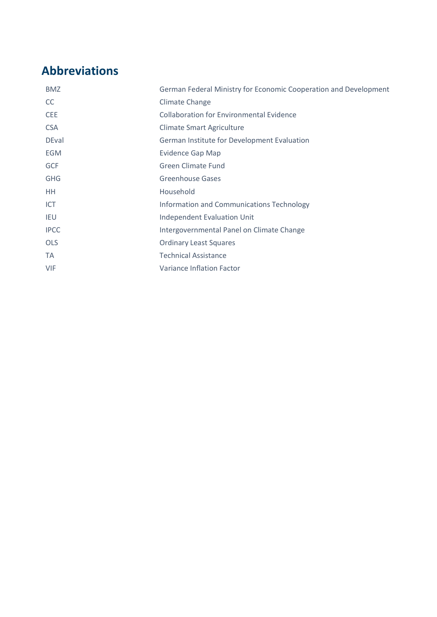## **Abbreviations**

| <b>BMZ</b>   | German Federal Ministry for Economic Cooperation and Development |
|--------------|------------------------------------------------------------------|
| <b>CC</b>    | <b>Climate Change</b>                                            |
| <b>CEE</b>   | <b>Collaboration for Environmental Evidence</b>                  |
| <b>CSA</b>   | <b>Climate Smart Agriculture</b>                                 |
| <b>DEval</b> | German Institute for Development Evaluation                      |
| <b>EGM</b>   | <b>Evidence Gap Map</b>                                          |
| <b>GCF</b>   | <b>Green Climate Fund</b>                                        |
| <b>GHG</b>   | <b>Greenhouse Gases</b>                                          |
| <b>HH</b>    | Household                                                        |
| <b>ICT</b>   | Information and Communications Technology                        |
| <b>IEU</b>   | <b>Independent Evaluation Unit</b>                               |
| <b>IPCC</b>  | Intergovernmental Panel on Climate Change                        |
| <b>OLS</b>   | <b>Ordinary Least Squares</b>                                    |
| TA           | <b>Technical Assistance</b>                                      |
| <b>VIF</b>   | Variance Inflation Factor                                        |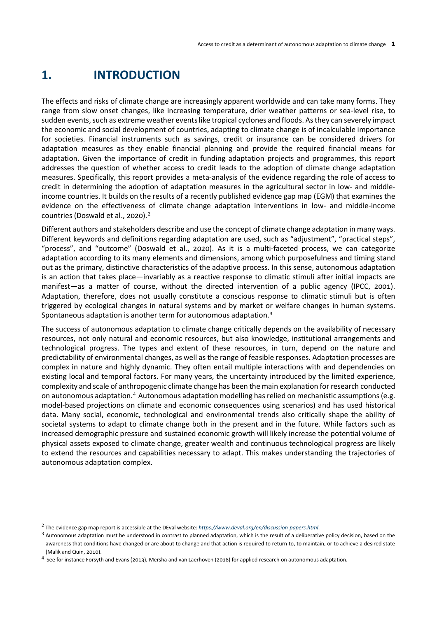## <span id="page-8-0"></span>**1. INTRODUCTION**

The effects and risks of climate change are increasingly apparent worldwide and can take many forms. They range from slow onset changes, like increasing temperature, drier weather patterns or sea-level rise, to sudden events, such as extreme weather events like tropical cyclones and floods. As they can severely impact the economic and social development of countries, adapting to climate change is of incalculable importance for societies. Financial instruments such as savings, credit or insurance can be considered drivers for adaptation measures as they enable financial planning and provide the required financial means for adaptation. Given the importance of credit in funding adaptation projects and programmes, this report addresses the question of whether access to credit leads to the adoption of climate change adaptation measures. Specifically, this report provides a meta-analysis of the evidence regarding the role of access to credit in determining the adoption of adaptation measures in the agricultural sector in low- and middleincome countries. It builds on the results of a recently published evidence gap map (EGM) that examines the evidence on the effectiveness of climate change adaptation interventions in low- and middle-income countries (Doswald et al., 2020).[2](#page-8-1)

Different authors and stakeholders describe and use the concept of climate change adaptation in many ways. Different keywords and definitions regarding adaptation are used, such as "adjustment", "practical steps", "process", and "outcome" (Doswald et al., 2020). As it is a multi-faceted process, we can categorize adaptation according to its many elements and dimensions, among which purposefulness and timing stand out as the primary, distinctive characteristics of the adaptive process. In this sense, autonomous adaptation is an action that takes place—invariably as a reactive response to climatic stimuli after initial impacts are manifest—as a matter of course, without the directed intervention of a public agency (IPCC, 2001). Adaptation, therefore, does not usually constitute a conscious response to climatic stimuli but is often triggered by ecological changes in natural systems and by market or welfare changes in human systems. Spontaneous adaptation is another term for autonomous adaptation.[3](#page-8-2)

The success of autonomous adaptation to climate change critically depends on the availability of necessary resources, not only natural and economic resources, but also knowledge, institutional arrangements and technological progress. The types and extent of these resources, in turn, depend on the nature and predictability of environmental changes, as well as the range of feasible responses. Adaptation processes are complex in nature and highly dynamic. They often entail multiple interactions with and dependencies on existing local and temporal factors. For many years, the uncertainty introduced by the limited experience, complexity and scale of anthropogenic climate change has been the main explanation for research conducted on autonomous adaptation.[4](#page-8-3) Autonomous adaptation modelling has relied on mechanistic assumptions (e.g. model-based projections on climate and economic consequences using scenarios) and has used historical data. Many social, economic, technological and environmental trends also critically shape the ability of societal systems to adapt to climate change both in the present and in the future. While factors such as increased demographic pressure and sustained economic growth will likely increase the potential volume of physical assets exposed to climate change, greater wealth and continuous technological progress are likely to extend the resources and capabilities necessary to adapt. This makes understanding the trajectories of autonomous adaptation complex.

<span id="page-8-1"></span><sup>2</sup> The evidence gap map report is accessible at the DEval website: *<https://www.deval.org/en/discussion-papers.html>*.

<span id="page-8-2"></span><sup>&</sup>lt;sup>3</sup> Autonomous adaptation must be understood in contrast to planned adaptation, which is the result of a deliberative policy decision, based on the awareness that conditions have changed or are about to change and that action is required to return to, to maintain, or to achieve a desired state (Malik and Quin, 2010).

<span id="page-8-3"></span><sup>&</sup>lt;sup>4</sup> See for instance Forsyth and Evans (2013), Mersha and van Laerhoven (2018) for applied research on autonomous adaptation.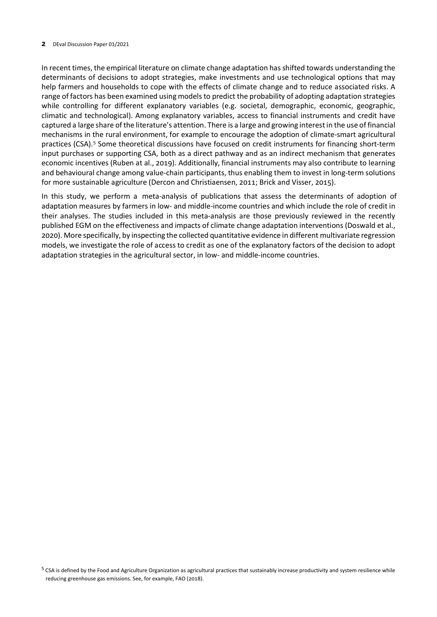In recent times, the empirical literature on climate change adaptation has shifted towards understanding the determinants of decisions to adopt strategies, make investments and use technological options that may help farmers and households to cope with the effects of climate change and to reduce associated risks. A range of factors has been examined using models to predict the probability of adopting adaptation strategies while controlling for different explanatory variables (e.g. societal, demographic, economic, geographic, climatic and technological). Among explanatory variables, access to financial instruments and credit have captured a large share of the literature's attention. There is a large and growing interestin the use of financial mechanisms in the rural environment, for example to encourage the adoption of climate-smart agricultural practices (CSA).<sup>[5](#page-9-0)</sup> Some theoretical discussions have focused on credit instruments for financing short-term input purchases or supporting CSA, both as a direct pathway and as an indirect mechanism that generates economic incentives (Ruben at al., 2019). Additionally, financial instruments may also contribute to learning and behavioural change among value-chain participants, thus enabling them to invest in long-term solutions for more sustainable agriculture (Dercon and Christiaensen, 2011; Brick and Visser, 2015).

In this study, we perform a meta-analysis of publications that assess the determinants of adoption of adaptation measures by farmers in low- and middle-income countries and which include the role of credit in their analyses. The studies included in this meta-analysis are those previously reviewed in the recently published EGM on the effectiveness and impacts of climate change adaptation interventions (Doswald et al., 2020). More specifically, by inspecting the collected quantitative evidence in different multivariate regression models, we investigate the role of access to credit as one of the explanatory factors of the decision to adopt adaptation strategies in the agricultural sector, in low- and middle-income countries.

<span id="page-9-0"></span><sup>&</sup>lt;sup>5</sup> CSA is defined by the Food and Agriculture Organization as agricultural practices that sustainably increase productivity and system resilience while reducing greenhouse gas emissions. See, for example, FAO (2018).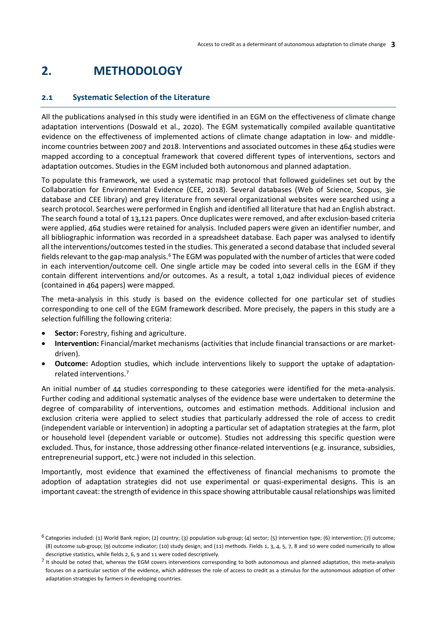## <span id="page-10-0"></span>**2. METHODOLOGY**

### <span id="page-10-1"></span>**2.1 Systematic Selection of the Literature**

All the publications analysed in this study were identified in an EGM on the effectiveness of climate change adaptation interventions (Doswald et al., 2020). The EGM systematically compiled available quantitative evidence on the effectiveness of implemented actions of climate change adaptation in low- and middleincome countries between 2007 and 2018. Interventions and associated outcomes in these 464 studies were mapped according to a conceptual framework that covered different types of interventions, sectors and adaptation outcomes. Studies in the EGM included both autonomous and planned adaptation.

To populate this framework, we used a systematic map protocol that followed guidelines set out by the Collaboration for Environmental Evidence (CEE, 2018). Several databases (Web of Science, Scopus, 3ie database and CEE library) and grey literature from several organizational websites were searched using a search protocol. Searches were performed in English and identified all literature that had an English abstract. The search found a total of 13,121 papers. Once duplicates were removed, and after exclusion-based criteria were applied, 464 studies were retained for analysis. Included papers were given an identifier number, and all bibliographic information was recorded in a spreadsheet database. Each paper was analysed to identify all the interventions/outcomes tested in the studies. This generated a second database that included several fields relevant to the gap-map analysis.[6](#page-10-2) The EGM was populated with the number of articles that were coded in each intervention/outcome cell. One single article may be coded into several cells in the EGM if they contain different interventions and/or outcomes. As a result, a total 1,042 individual pieces of evidence (contained in 464 papers) were mapped.

The meta-analysis in this study is based on the evidence collected for one particular set of studies corresponding to one cell of the EGM framework described. More precisely, the papers in this study are a selection fulfilling the following criteria:

- **Sector:** Forestry, fishing and agriculture.
- **Intervention:** Financial/market mechanisms (activities that include financial transactions or are marketdriven).
- **Outcome:** Adoption studies, which include interventions likely to support the uptake of adaptationrelated interventions.[7](#page-10-3)

An initial number of 44 studies corresponding to these categories were identified for the meta-analysis. Further coding and additional systematic analyses of the evidence base were undertaken to determine the degree of comparability of interventions, outcomes and estimation methods. Additional inclusion and exclusion criteria were applied to select studies that particularly addressed the role of access to credit (independent variable or intervention) in adopting a particular set of adaptation strategies at the farm, plot or household level (dependent variable or outcome). Studies not addressing this specific question were excluded. Thus, for instance, those addressing other finance-related interventions (e.g. insurance, subsidies, entrepreneurial support, etc.) were not included in this selection.

Importantly, most evidence that examined the effectiveness of financial mechanisms to promote the adoption of adaptation strategies did not use experimental or quasi-experimental designs. This is an important caveat: the strength of evidence in this space showing attributable causal relationships was limited

<span id="page-10-2"></span> $6$  Categories included: (1) World Bank region; (2) country; (3) population sub-group; (4) sector; (5) intervention type; (6) intervention; (7) outcome; (8) outcome sub-group; (9) outcome indicator; (10) study design; and (11) methods. Fields 1, 3, 4, 5, 7, 8 and 10 were coded numerically to allow descriptive statistics, while fields 2, 6, 9 and 11 were coded descriptively.

<span id="page-10-3"></span> $<sup>7</sup>$  It should be noted that, whereas the EGM covers interventions corresponding to both autonomous and planned adaptation, this meta-analysis</sup> focuses on a particular section of the evidence, which addresses the role of access to credit as a stimulus for the autonomous adoption of other adaptation strategies by farmers in developing countries.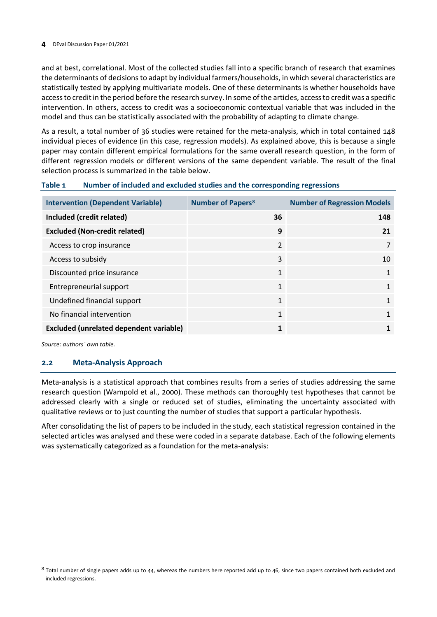and at best, correlational. Most of the collected studies fall into a specific branch of research that examines the determinants of decisions to adapt by individual farmers/households, in which several characteristics are statistically tested by applying multivariate models. One of these determinants is whether households have accessto credit in the period before the research survey. In some ofthe articles, accessto credit was a specific intervention. In others, access to credit was a socioeconomic contextual variable that was included in the model and thus can be statistically associated with the probability of adapting to climate change.

As a result, a total number of 36 studies were retained for the meta-analysis, which in total contained 148 individual pieces of evidence (in this case, regression models). As explained above, this is because a single paper may contain different empirical formulations for the same overall research question, in the form of different regression models or different versions of the same dependent variable. The result of the final selection process is summarized in the table below.

<span id="page-11-1"></span>

| Table 1<br>Number of included and excluded studies and the corresponding regressions |  |
|--------------------------------------------------------------------------------------|--|
|--------------------------------------------------------------------------------------|--|

| <b>Intervention (Dependent Variable)</b>       | <b>Number of Papers<sup>8</sup></b> | <b>Number of Regression Models</b> |  |  |  |
|------------------------------------------------|-------------------------------------|------------------------------------|--|--|--|
| Included (credit related)                      | 36                                  | 148                                |  |  |  |
| <b>Excluded (Non-credit related)</b>           | 9                                   | 21                                 |  |  |  |
| Access to crop insurance                       | $\overline{2}$                      |                                    |  |  |  |
| Access to subsidy                              | 3                                   | 10                                 |  |  |  |
| Discounted price insurance                     | $\mathbf{1}$                        |                                    |  |  |  |
| Entrepreneurial support                        | 1                                   | 1                                  |  |  |  |
| Undefined financial support                    | $\mathbf{1}$                        |                                    |  |  |  |
| No financial intervention                      | 1                                   |                                    |  |  |  |
| <b>Excluded (unrelated dependent variable)</b> | 1                                   |                                    |  |  |  |

*Source: authors` own table.*

## <span id="page-11-0"></span>**2.2 Meta-Analysis Approach**

Meta-analysis is a statistical approach that combines results from a series of studies addressing the same research question (Wampold et al., 2000). These methods can thoroughly test hypotheses that cannot be addressed clearly with a single or reduced set of studies, eliminating the uncertainty associated with qualitative reviews or to just counting the number of studies that support a particular hypothesis.

After consolidating the list of papers to be included in the study, each statistical regression contained in the selected articles was analysed and these were coded in a separate database. Each of the following elements was systematically categorized as a foundation for the meta-analysis:

<span id="page-11-2"></span> $8$  Total number of single papers adds up to 44, whereas the numbers here reported add up to 46, since two papers contained both excluded and included regressions.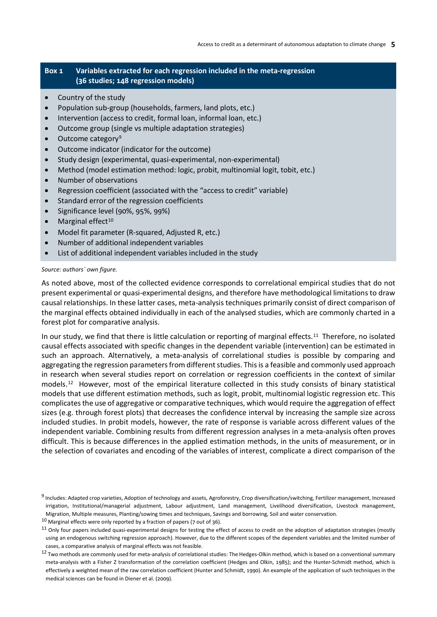### <span id="page-12-0"></span>**Box 1 Variables extracted for each regression included in the meta-regression (36 studies; 148 regression models)**

- Country of the study
- Population sub-group (households, farmers, land plots, etc.)
- Intervention (access to credit, formal loan, informal loan, etc.)
- Outcome group (single vs multiple adaptation strategies)
- Outcome category<sup>[9](#page-12-1)</sup>
- Outcome indicator (indicator for the outcome)
- Study design (experimental, quasi-experimental, non-experimental)
- Method (model estimation method: logic, probit, multinomial logit, tobit, etc.)
- Number of observations
- Regression coefficient (associated with the "access to credit" variable)
- Standard error of the regression coefficients
- Significance level (90%, 95%, 99%)
- $\bullet$  Marginal effect<sup>[10](#page-12-2)</sup>
- Model fit parameter (R-squared, Adjusted R, etc.)
- Number of additional independent variables
- List of additional independent variables included in the study

#### *Source: authors` own figure.*

As noted above, most of the collected evidence corresponds to correlational empirical studies that do not present experimental or quasi-experimental designs, and therefore have methodological limitations to draw causal relationships. In these latter cases, meta-analysis techniques primarily consist of direct comparison of the marginal effects obtained individually in each of the analysed studies, which are commonly charted in a forest plot for comparative analysis.

In our study, we find that there is little calculation or reporting of marginal effects.<sup>11</sup> Therefore, no isolated causal effects associated with specific changes in the dependent variable (intervention) can be estimated in such an approach. Alternatively, a meta-analysis of correlational studies is possible by comparing and aggregating the regression parameters from different studies. This is a feasible and commonly used approach in research when several studies report on correlation or regression coefficients in the context of similar models.[12](#page-12-4) However, most of the empirical literature collected in this study consists of binary statistical models that use different estimation methods, such as logit, probit, multinomial logistic regression etc. This complicates the use of aggregative or comparative techniques, which would require the aggregation of effect sizes (e.g. through forest plots) that decreases the confidence interval by increasing the sample size across included studies. In probit models, however, the rate of response is variable across different values of the independent variable. Combining results from different regression analyses in a meta-analysis often proves difficult. This is because differences in the applied estimation methods, in the units of measurement, or in the selection of covariates and encoding of the variables of interest, complicate a direct comparison of the

<span id="page-12-1"></span><sup>9</sup> Includes: Adapted crop varieties, Adoption of technology and assets, Agroforestry, Crop diversification/switching, Fertilizer management, Increased irrigation, Institutional/managerial adjustment, Labour adjustment, Land management, Livelihood diversification, Livestock management, Migration, Multiple measures, Planting/sowing times and techniques, Savings and borrowing, Soil and water conservation.

<span id="page-12-2"></span> $10$  Marginal effects were only reported by a fraction of papers (7 out of 36).

<span id="page-12-3"></span> $11$  Only four papers included quasi-experimental designs for testing the effect of access to credit on the adoption of adaptation strategies (mostly using an endogenous switching regression approach). However, due to the different scopes of the dependent variables and the limited number of cases, a comparative analysis of marginal effects was not feasible.

<span id="page-12-4"></span><sup>&</sup>lt;sup>12</sup> Two methods are commonly used for meta-analysis of correlational studies: The Hedges-Olkin method, which is based on a conventional summary meta-analysis with a Fisher Z transformation of the correlation coefficient (Hedges and Olkin, 1985); and the Hunter-Schmidt method, which is effectively a weighted mean of the raw correlation coefficient (Hunter and Schmidt, 1990). An example of the application of such techniques in the medical sciences can be found in Diener et al. (2009).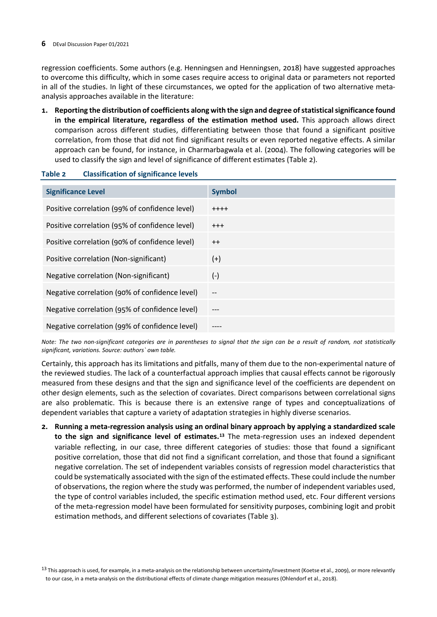regression coefficients. Some authors (e.g. Henningsen and Henningsen, 2018) have suggested approaches to overcome this difficulty, which in some cases require access to original data or parameters not reported in all of the studies. In light of these circumstances, we opted for the application of two alternative metaanalysis approaches available in the literature:

**1. Reporting the distribution of coefficients along with the sign and degree of statistical significance found in the empirical literature, regardless of the estimation method used.** This approach allows direct comparison across different studies, differentiating between those that found a significant positive correlation, from those that did not find significant results or even reported negative effects. A similar approach can be found, for instance, in Charmarbagwala et al. (2004). The following categories will be used to classify the sign and level of significance of different estimates (Table 2).

## <span id="page-13-0"></span>**Table 2 Classification of significance levels**

| <b>Significance Level</b>                      | <b>Symbol</b> |
|------------------------------------------------|---------------|
| Positive correlation (99% of confidence level) | $++++$        |
| Positive correlation (95% of confidence level) | $^{+++}$      |
| Positive correlation (90% of confidence level) | $^{++}$       |
| Positive correlation (Non-significant)         | $(+)$         |
| Negative correlation (Non-significant)         | $(-)$         |
| Negative correlation (90% of confidence level) | --            |
| Negative correlation (95% of confidence level) | ---           |
| Negative correlation (99% of confidence level) |               |

*Note: The two non-significant categories are in parentheses to signal that the sign can be a result of random, not statistically significant, variations. Source: authors` own table.*

Certainly, this approach has its limitations and pitfalls, many of them due to the non-experimental nature of the reviewed studies. The lack of a counterfactual approach implies that causal effects cannot be rigorously measured from these designs and that the sign and significance level of the coefficients are dependent on other design elements, such as the selection of covariates. Direct comparisons between correlational signs are also problematic. This is because there is an extensive range of types and conceptualizations of dependent variables that capture a variety of adaptation strategies in highly diverse scenarios.

**2. Running a meta-regression analysis using an ordinal binary approach by applying a standardized scale to the sign and significance level of estimates.[13](#page-13-1)** The meta-regression uses an indexed dependent variable reflecting, in our case, three different categories of studies: those that found a significant positive correlation, those that did not find a significant correlation, and those that found a significant negative correlation. The set of independent variables consists of regression model characteristics that could be systematically associated with the sign of the estimated effects. These could include the number of observations, the region where the study was performed, the number of independent variables used, the type of control variables included, the specific estimation method used, etc. Four different versions of the meta-regression model have been formulated for sensitivity purposes, combining logit and probit estimation methods, and different selections of covariates (Table 3).

<span id="page-13-1"></span><sup>&</sup>lt;sup>13</sup> This approach is used, for example, in a meta-analysis on the relationship between uncertainty/investment (Koetse et al., 2009), or more relevantly to our case, in a meta-analysis on the distributional effects of climate change mitigation measures (Ohlendorf et al., 2018).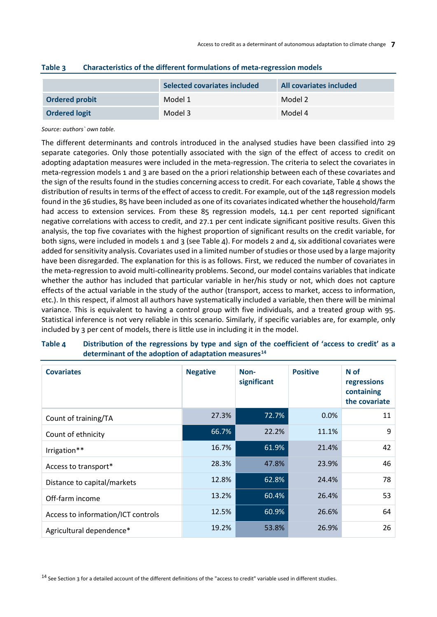|                       | Selected covariates included | All covariates included |
|-----------------------|------------------------------|-------------------------|
| <b>Ordered probit</b> | Model 1                      | Model 2                 |
| <b>Ordered logit</b>  | Model 3                      | Model 4                 |

### <span id="page-14-0"></span>**Table 3 Characteristics of the different formulations of meta-regression models**

#### *Source: authors` own table.*

The different determinants and controls introduced in the analysed studies have been classified into 29 separate categories. Only those potentially associated with the sign of the effect of access to credit on adopting adaptation measures were included in the meta-regression. The criteria to select the covariates in meta-regression models 1 and 3 are based on the a priori relationship between each of these covariates and the sign of the results found in the studies concerning access to credit. For each covariate, Table 4 shows the distribution of results in terms of the effect of access to credit. For example, out of the 148 regression models found in the 36 studies, 85 have been included as one of its covariates indicated whether the household/farm had access to extension services. From these 85 regression models, 14.1 per cent reported significant negative correlations with access to credit, and 27.1 per cent indicate significant positive results. Given this analysis, the top five covariates with the highest proportion of significant results on the credit variable, for both signs, were included in models 1 and 3 (see Table 4). For models 2 and 4, six additional covariates were added for sensitivity analysis. Covariates used in a limited number of studies or those used by a large majority have been disregarded. The explanation for this is as follows. First, we reduced the number of covariates in the meta-regression to avoid multi-collinearity problems. Second, our model contains variables that indicate whether the author has included that particular variable in her/his study or not, which does not capture effects of the actual variable in the study of the author (transport, access to market, access to information, etc.). In this respect, if almost all authors have systematically included a variable, then there will be minimal variance. This is equivalent to having a control group with five individuals, and a treated group with 95. Statistical inference is not very reliable in this scenario. Similarly, if specific variables are, for example, only included by 3 per cent of models, there is little use in including it in the model.

| <b>Covariates</b>                  | <b>Negative</b><br>Non-<br>significant |       | <b>Positive</b> | N of<br>regressions<br>containing<br>the covariate |  |  |
|------------------------------------|----------------------------------------|-------|-----------------|----------------------------------------------------|--|--|
| Count of training/TA               | 27.3%                                  | 72.7% | $0.0\%$         | 11                                                 |  |  |
| Count of ethnicity                 | 66.7%                                  | 22.2% | 11.1%           | 9                                                  |  |  |
| Irrigation**                       | 16.7%                                  | 61.9% | 21.4%           | 42                                                 |  |  |
| Access to transport*               | 28.3%                                  | 47.8% | 23.9%           | 46                                                 |  |  |
| Distance to capital/markets        | 12.8%                                  | 62.8% | 24.4%           | 78                                                 |  |  |
| Off-farm income                    | 13.2%                                  | 60.4% | 26.4%           | 53                                                 |  |  |
| Access to information/ICT controls | 12.5%                                  | 60.9% | 26.6%           | 64                                                 |  |  |
| Agricultural dependence*           | 19.2%                                  | 53.8% | 26.9%           | 26                                                 |  |  |

## <span id="page-14-1"></span>**Table 4 Distribution of the regressions by type and sign of the coefficient of 'access to credit' as a determinant of the adoption of adaptation measures[14](#page-14-2)**

<span id="page-14-2"></span><sup>14</sup> See Section 3 for a detailed account of the different definitions of the "access to credit" variable used in different studies.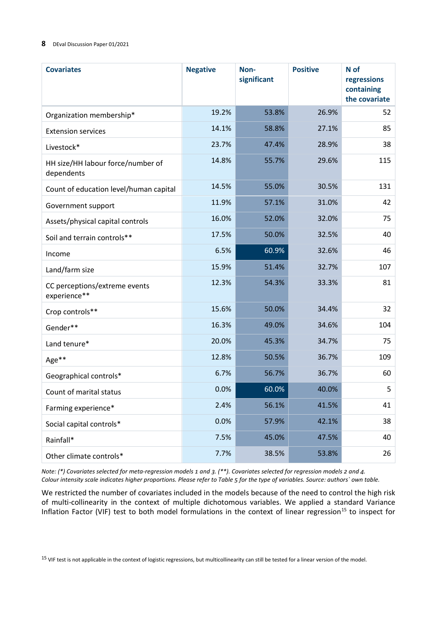| <b>Covariates</b>                               | <b>Negative</b> | Non-<br>significant | <b>Positive</b> | N of<br>regressions<br>containing<br>the covariate |  |
|-------------------------------------------------|-----------------|---------------------|-----------------|----------------------------------------------------|--|
| Organization membership*                        | 19.2%           | 53.8%               | 26.9%           | 52                                                 |  |
| <b>Extension services</b>                       | 14.1%           | 58.8%               | 27.1%           | 85                                                 |  |
| Livestock*                                      | 23.7%           | 47.4%               | 28.9%           | 38                                                 |  |
| HH size/HH labour force/number of<br>dependents | 14.8%           | 55.7%               | 29.6%           | 115                                                |  |
| Count of education level/human capital          | 14.5%           | 55.0%               | 30.5%           | 131                                                |  |
| Government support                              | 11.9%           | 57.1%               | 31.0%           | 42                                                 |  |
| Assets/physical capital controls                | 16.0%           | 52.0%               | 32.0%           | 75                                                 |  |
| Soil and terrain controls**                     | 17.5%           | 50.0%               | 32.5%           | 40                                                 |  |
| Income                                          | 6.5%            | 60.9%               | 32.6%           | 46                                                 |  |
| Land/farm size                                  | 15.9%           | 51.4%               | 32.7%           | 107                                                |  |
| CC perceptions/extreme events<br>experience**   | 12.3%           | 54.3%               | 33.3%           | 81                                                 |  |
| Crop controls**                                 | 15.6%           | 50.0%               | 34.4%           | 32                                                 |  |
| Gender**                                        | 16.3%           | 49.0%               | 34.6%           | 104                                                |  |
| Land tenure*                                    | 20.0%           | 45.3%               | 34.7%           | 75                                                 |  |
| Age**                                           | 12.8%           | 50.5%               | 36.7%           | 109                                                |  |
| Geographical controls*                          | 6.7%            | 56.7%               | 36.7%           | 60                                                 |  |
| Count of marital status                         | 0.0%            | 60.0%               | 40.0%           | 5                                                  |  |
| Farming experience*                             | 2.4%            | 56.1%               | 41.5%           | 41                                                 |  |
| Social capital controls*                        | 0.0%            | 57.9%               | 42.1%           | 38                                                 |  |
| Rainfall*                                       | 7.5%            | 45.0%               | 47.5%           | 40                                                 |  |
| Other climate controls*                         | 7.7%            | 38.5%               | 53.8%           | 26                                                 |  |

*Note: (\*) Covariates selected for meta-regression models 1 and 3. (\*\*). Covariates selected for regression models 2 and 4. Colour intensity scale indicates higher proportions. Please refer to Table 5 for the type of variables. Source: authors` own table.*

We restricted the number of covariates included in the models because of the need to control the high risk of multi-collinearity in the context of multiple dichotomous variables. We applied a standard Variance Inflation Factor (VIF) test to both model formulations in the context of linear regression<sup>[15](#page-15-0)</sup> to inspect for

<span id="page-15-0"></span><sup>15</sup> VIF test is not applicable in the context of logistic regressions, but multicollinearity can still be tested for a linear version of the model.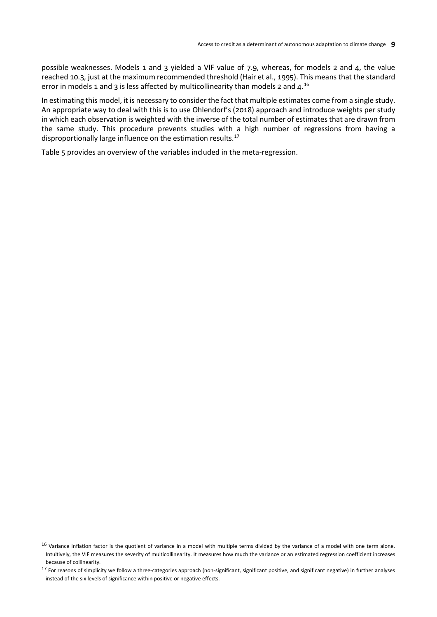possible weaknesses. Models 1 and 3 yielded a VIF value of 7.9, whereas, for models 2 and 4, the value reached 10.3, just at the maximum recommended threshold (Hair et al., 1995). This means that the standard error in models 1 and 3 is less affected by multicollinearity than models 2 and  $4^{16}$  $4^{16}$  $4^{16}$ 

In estimating this model, it is necessary to consider the fact that multiple estimates come from a single study. An appropriate way to deal with this is to use Ohlendorf's (2018) approach and introduce weights per study in which each observation is weighted with the inverse of the total number of estimates that are drawn from the same study. This procedure prevents studies with a high number of regressions from having a disproportionally large influence on the estimation results.<sup>[17](#page-16-1)</sup>

Table 5 provides an overview of the variables included in the meta-regression.

<span id="page-16-0"></span> $16$  Variance Inflation factor is the quotient of variance in a model with multiple terms divided by the variance of a model with one term alone. Intuitively, the VIF measures the severity of multicollinearity. It measures how much the variance or an estimated regression coefficient increases because of collinearity.

<span id="page-16-1"></span><sup>&</sup>lt;sup>17</sup> For reasons of simplicity we follow a three-categories approach (non-significant, significant positive, and significant negative) in further analyses instead of the six levels of significance within positive or negative effects.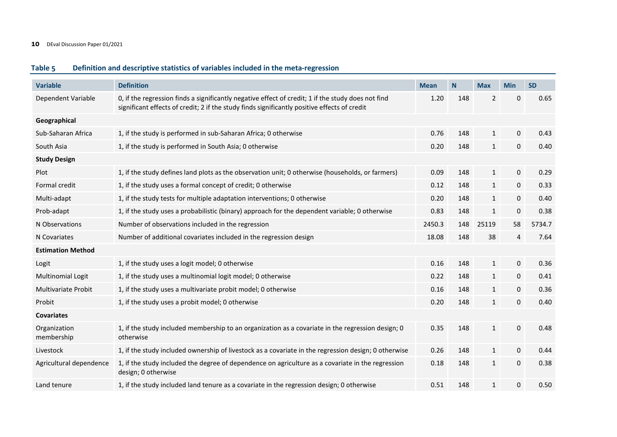### **Table 5 Definition and descriptive statistics of variables included in the meta-regression**

<span id="page-17-0"></span>

| <b>Variable</b>            | <b>Definition</b>                                                                                                                                                                                  | <b>Mean</b> | N   | <b>Max</b>     | <b>Min</b>       | <b>SD</b> |
|----------------------------|----------------------------------------------------------------------------------------------------------------------------------------------------------------------------------------------------|-------------|-----|----------------|------------------|-----------|
| Dependent Variable         | 0, if the regression finds a significantly negative effect of credit; 1 if the study does not find<br>significant effects of credit; 2 if the study finds significantly positive effects of credit | 1.20        | 148 | $\overline{2}$ | 0                | 0.65      |
| Geographical               |                                                                                                                                                                                                    |             |     |                |                  |           |
| Sub-Saharan Africa         | 1, if the study is performed in sub-Saharan Africa; 0 otherwise                                                                                                                                    | 0.76        | 148 | $\mathbf{1}$   | $\mathbf 0$      | 0.43      |
| South Asia                 | 1, if the study is performed in South Asia; 0 otherwise                                                                                                                                            | 0.20        | 148 | $\mathbf{1}$   | $\mathbf 0$      | 0.40      |
| <b>Study Design</b>        |                                                                                                                                                                                                    |             |     |                |                  |           |
| Plot                       | 1, if the study defines land plots as the observation unit; 0 otherwise (households, or farmers)                                                                                                   | 0.09        | 148 | $\mathbf{1}$   | $\boldsymbol{0}$ | 0.29      |
| Formal credit              | 1, if the study uses a formal concept of credit; 0 otherwise                                                                                                                                       | 0.12        | 148 | $\mathbf{1}$   | $\mathbf 0$      | 0.33      |
| Multi-adapt                | 1, if the study tests for multiple adaptation interventions; 0 otherwise                                                                                                                           | 0.20        | 148 | $\mathbf{1}$   | $\mathbf 0$      | 0.40      |
| Prob-adapt                 | 1, if the study uses a probabilistic (binary) approach for the dependent variable; 0 otherwise                                                                                                     | 0.83        | 148 | $\mathbf{1}$   | $\mathbf 0$      | 0.38      |
| N Observations             | Number of observations included in the regression                                                                                                                                                  | 2450.3      | 148 | 25119          | 58               | 5734.7    |
| N Covariates               | Number of additional covariates included in the regression design                                                                                                                                  | 18.08       | 148 | 38             | 4                | 7.64      |
| <b>Estimation Method</b>   |                                                                                                                                                                                                    |             |     |                |                  |           |
| Logit                      | 1, if the study uses a logit model; 0 otherwise                                                                                                                                                    | 0.16        | 148 | $\mathbf{1}$   | $\mathbf 0$      | 0.36      |
| <b>Multinomial Logit</b>   | 1, if the study uses a multinomial logit model; 0 otherwise                                                                                                                                        | 0.22        | 148 | $\mathbf{1}$   | $\mathbf 0$      | 0.41      |
| Multivariate Probit        | 1, if the study uses a multivariate probit model; 0 otherwise                                                                                                                                      | 0.16        | 148 | $\mathbf{1}$   | $\mathbf 0$      | 0.36      |
| Probit                     | 1, if the study uses a probit model; 0 otherwise                                                                                                                                                   | 0.20        | 148 | $\mathbf{1}$   | 0                | 0.40      |
| <b>Covariates</b>          |                                                                                                                                                                                                    |             |     |                |                  |           |
| Organization<br>membership | 1, if the study included membership to an organization as a covariate in the regression design; 0<br>otherwise                                                                                     | 0.35        | 148 | $\mathbf{1}$   | $\boldsymbol{0}$ | 0.48      |
| Livestock                  | 1, if the study included ownership of livestock as a covariate in the regression design; 0 otherwise                                                                                               | 0.26        | 148 | $\mathbf{1}$   | $\mathbf 0$      | 0.44      |
| Agricultural dependence    | 1, if the study included the degree of dependence on agriculture as a covariate in the regression<br>design; 0 otherwise                                                                           | 0.18        | 148 | $\mathbf{1}$   | $\mathbf{0}$     | 0.38      |
| Land tenure                | 1, if the study included land tenure as a covariate in the regression design; 0 otherwise                                                                                                          | 0.51        | 148 | $\mathbf{1}$   | 0                | 0.50      |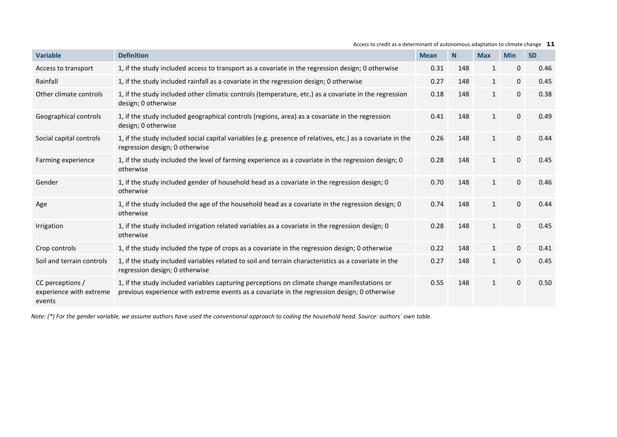| <b>Variable</b>                                       | <b>Definition</b>                                                                                                                                                                            | <b>Mean</b> | N <sub>1</sub> | <b>Max</b>   | <b>Min</b>   | <b>SD</b> |
|-------------------------------------------------------|----------------------------------------------------------------------------------------------------------------------------------------------------------------------------------------------|-------------|----------------|--------------|--------------|-----------|
| Access to transport                                   | 1, if the study included access to transport as a covariate in the regression design; 0 otherwise                                                                                            | 0.31        | 148            | $\mathbf{1}$ | 0            | 0.46      |
| Rainfall                                              | 1, if the study included rainfall as a covariate in the regression design; 0 otherwise                                                                                                       | 0.27        | 148            | $\mathbf{1}$ | 0            | 0.45      |
| Other climate controls                                | 1, if the study included other climatic controls (temperature, etc.) as a covariate in the regression<br>design; 0 otherwise                                                                 |             | 148            | $\mathbf{1}$ | 0            | 0.38      |
| Geographical controls                                 | 1, if the study included geographical controls (regions, area) as a covariate in the regression<br>design; 0 otherwise                                                                       | 0.41        | 148            | $\mathbf{1}$ | 0            | 0.49      |
| Social capital controls                               | 1, if the study included social capital variables (e.g. presence of relatives, etc.) as a covariate in the<br>regression design; 0 otherwise                                                 | 0.26        | 148            | $\mathbf{1}$ | $\mathbf{0}$ | 0.44      |
| Farming experience                                    | 1, if the study included the level of farming experience as a covariate in the regression design; 0<br>otherwise                                                                             | 0.28        | 148            | $\mathbf{1}$ | $\mathbf{0}$ | 0.45      |
| Gender                                                | 1, if the study included gender of household head as a covariate in the regression design; 0<br>otherwise                                                                                    | 0.70        | 148            | $\mathbf{1}$ | $\mathbf 0$  | 0.46      |
| Age                                                   | 1, if the study included the age of the household head as a covariate in the regression design; 0<br>otherwise                                                                               | 0.74        | 148            | $\mathbf{1}$ | $\mathbf{0}$ | 0.44      |
| Irrigation                                            | 1, if the study included irrigation related variables as a covariate in the regression design; 0<br>otherwise                                                                                | 0.28        | 148            | $\mathbf{1}$ | 0            | 0.45      |
| Crop controls                                         | 1, if the study included the type of crops as a covariate in the regression design; 0 otherwise                                                                                              | 0.22        | 148            | $\mathbf{1}$ | $\mathbf 0$  | 0.41      |
| Soil and terrain controls                             | 1, if the study included variables related to soil and terrain characteristics as a covariate in the<br>regression design; 0 otherwise                                                       | 0.27        | 148            | $\mathbf{1}$ | $\pmb{0}$    | 0.45      |
| CC perceptions /<br>experience with extreme<br>events | 1, if the study included variables capturing perceptions on climate change manifestations or<br>previous experience with extreme events as a covariate in the regression design; 0 otherwise | 0.55        | 148            | $\mathbf{1}$ | $\mathbf{0}$ | 0.50      |

#### Access to credit as a determinant of autonomous adaptation to climate change **11**

*Note: (\*) For the gender variable, we assume authors have used the conventional approach to coding the household head. Source: authors` own table.*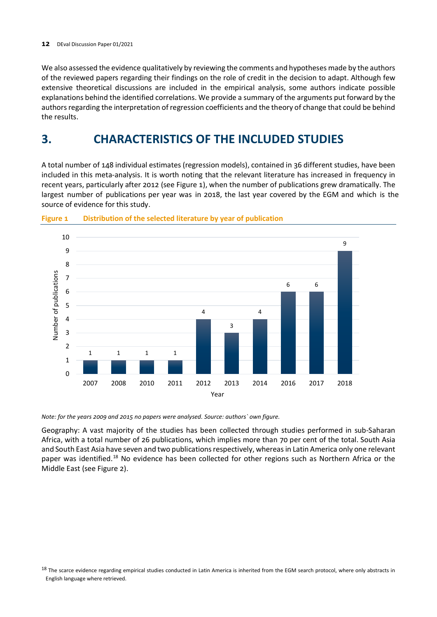We also assessed the evidence qualitatively by reviewing the comments and hypotheses made by the authors of the reviewed papers regarding their findings on the role of credit in the decision to adapt. Although few extensive theoretical discussions are included in the empirical analysis, some authors indicate possible explanations behind the identified correlations. We provide a summary of the arguments put forward by the authors regarding the interpretation of regression coefficients and the theory of change that could be behind the results.

## <span id="page-19-0"></span>**3. CHARACTERISTICS OF THE INCLUDED STUDIES**

A total number of 148 individual estimates (regression models), contained in 36 different studies, have been included in this meta-analysis. It is worth noting that the relevant literature has increased in frequency in recent years, particularly after 2012 (see Figure 1), when the number of publications grew dramatically. The largest number of publications per year was in 2018, the last year covered by the EGM and which is the source of evidence for this study.



<span id="page-19-1"></span>

*Note: for the years 2009 and 2015 no papers were analysed. Source: authors` own figure.*

Geography: A vast majority of the studies has been collected through studies performed in sub-Saharan Africa, with a total number of 26 publications, which implies more than 70 per cent of the total. South Asia and South East Asia have seven and two publications respectively, whereas in Latin America only one relevant paper was identified.<sup>[18](#page-19-2)</sup> No evidence has been collected for other regions such as Northern Africa or the Middle East (see Figure 2).

<span id="page-19-2"></span><sup>&</sup>lt;sup>18</sup> The scarce evidence regarding empirical studies conducted in Latin America is inherited from the EGM search protocol, where only abstracts in English language where retrieved.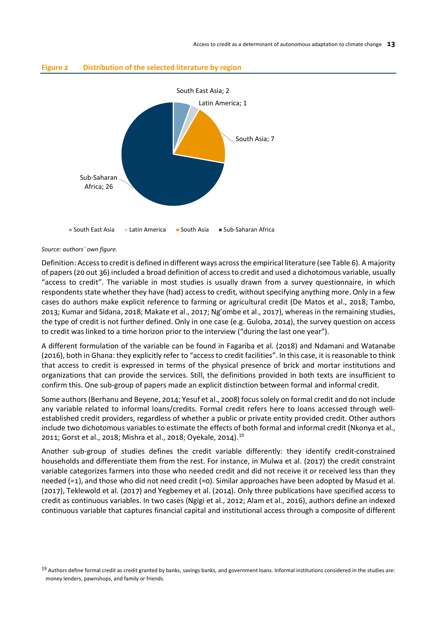

## <span id="page-20-0"></span>**Figure 2 Distribution of the selected literature by region**

#### *Source: authors` own figure.*

Definition: Access to credit is defined in different ways across the empirical literature (see Table 6). A majority of papers (20 out 36) included a broad definition of access to credit and used a dichotomous variable, usually "access to credit". The variable in most studies is usually drawn from a survey questionnaire, in which respondents state whether they have (had) access to credit, without specifying anything more. Only in a few cases do authors make explicit reference to farming or agricultural credit (De Matos et al., 2018; Tambo, 2013; Kumar and Sidana, 2018; Makate et al., 2017; Ng'ombe et al., 2017), whereas in the remaining studies, the type of credit is not further defined. Only in one case (e.g. Guloba, 2014), the survey question on access to credit was linked to a time horizon prior to the interview ("during the last one year").

A different formulation of the variable can be found in Fagariba et al. (2018) and Ndamani and Watanabe (2016), both in Ghana: they explicitly refer to "access to credit facilities". In this case, it is reasonable to think that access to credit is expressed in terms of the physical presence of brick and mortar institutions and organizations that can provide the services. Still, the definitions provided in both texts are insufficient to confirm this. One sub-group of papers made an explicit distinction between formal and informal credit.

Some authors (Berhanu and Beyene, 2014; Yesuf et al., 2008) focus solely on formal credit and do not include any variable related to informal loans/credits. Formal credit refers here to loans accessed through wellestablished credit providers, regardless of whether a public or private entity provided credit. Other authors include two dichotomous variables to estimate the effects of both formal and informal credit (Nkonya et al., 2011; Gorst et al., 2018; Mishra et al., 2018; Oyekale, 2014).<sup>[19](#page-20-1)</sup>

Another sub-group of studies defines the credit variable differently: they identify credit-constrained households and differentiate them from the rest. For instance, in Mulwa et al. (2017) the credit constraint variable categorizes farmers into those who needed credit and did not receive it or received less than they needed (=1), and those who did not need credit (=0). Similar approaches have been adopted by Masud et al. (2017), Teklewold et al. (2017) and Yegbemey et al. (2014). Only three publications have specified access to credit as continuous variables. In two cases (Ngigi et al., 2012; Alam et al., 2016), authors define an indexed continuous variable that captures financial capital and institutional access through a composite of different

<span id="page-20-1"></span><sup>19</sup> Authors define formal credit as credit granted by banks, savings banks, and government loans. Informal institutions considered in the studies are: money lenders, pawnshops, and family or friends.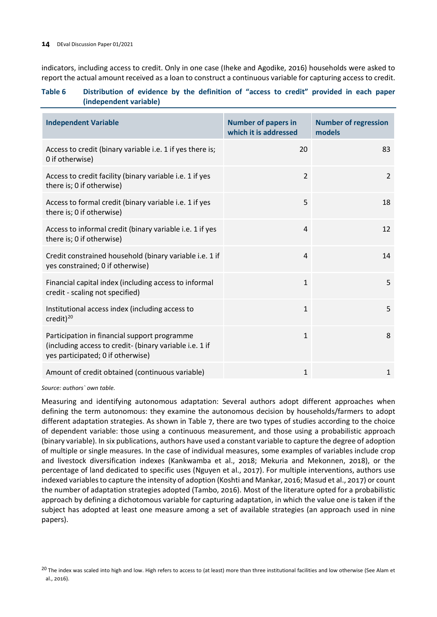indicators, including access to credit. Only in one case (Iheke and Agodike, 2016) households were asked to report the actual amount received as a loan to construct a continuous variable for capturing access to credit.

### <span id="page-21-0"></span>**Table 6 Distribution of evidence by the definition of "access to credit" provided in each paper (independent variable)**

| <b>Independent Variable</b>                                                                                                                  | <b>Number of papers in</b><br>which it is addressed | <b>Number of regression</b><br>models |
|----------------------------------------------------------------------------------------------------------------------------------------------|-----------------------------------------------------|---------------------------------------|
| Access to credit (binary variable i.e. 1 if yes there is;<br>0 if otherwise)                                                                 | 20                                                  | 83                                    |
| Access to credit facility (binary variable i.e. 1 if yes<br>there is; 0 if otherwise)                                                        | $\overline{2}$                                      | 2                                     |
| Access to formal credit (binary variable i.e. 1 if yes<br>there is; 0 if otherwise)                                                          | 5                                                   | 18                                    |
| Access to informal credit (binary variable i.e. 1 if yes<br>there is; 0 if otherwise)                                                        | 4                                                   | 12                                    |
| Credit constrained household (binary variable i.e. 1 if<br>yes constrained; 0 if otherwise)                                                  | 4                                                   | 14                                    |
| Financial capital index (including access to informal<br>credit - scaling not specified)                                                     | 1                                                   | 5                                     |
| Institutional access index (including access to<br>credit) $^{20}$                                                                           | 1                                                   | 5                                     |
| Participation in financial support programme<br>(including access to credit- (binary variable i.e. 1 if<br>yes participated; 0 if otherwise) | 1                                                   | 8                                     |
| Amount of credit obtained (continuous variable)                                                                                              | $\mathbf{1}$                                        | $\mathbf{1}$                          |

*Source: authors` own table.*

Measuring and identifying autonomous adaptation: Several authors adopt different approaches when defining the term autonomous: they examine the autonomous decision by households/farmers to adopt different adaptation strategies. As shown in Table 7, there are two types of studies according to the choice of dependent variable: those using a continuous measurement, and those using a probabilistic approach (binary variable). In six publications, authors have used a constant variable to capture the degree of adoption of multiple or single measures. In the case of individual measures, some examples of variables include crop and livestock diversification indexes (Kankwamba et al., 2018; Mekuria and Mekonnen, 2018), or the percentage of land dedicated to specific uses (Nguyen et al., 2017). For multiple interventions, authors use indexed variables to capture the intensity of adoption (Koshti and Mankar, 2016; Masud et al., 2017) or count the number of adaptation strategies adopted (Tambo, 2016). Most of the literature opted for a probabilistic approach by defining a dichotomous variable for capturing adaptation, in which the value one is taken if the subject has adopted at least one measure among a set of available strategies (an approach used in nine papers).

<span id="page-21-1"></span><sup>&</sup>lt;sup>20</sup> The index was scaled into high and low. High refers to access to (at least) more than three institutional facilities and low otherwise (See Alam et al., 2016).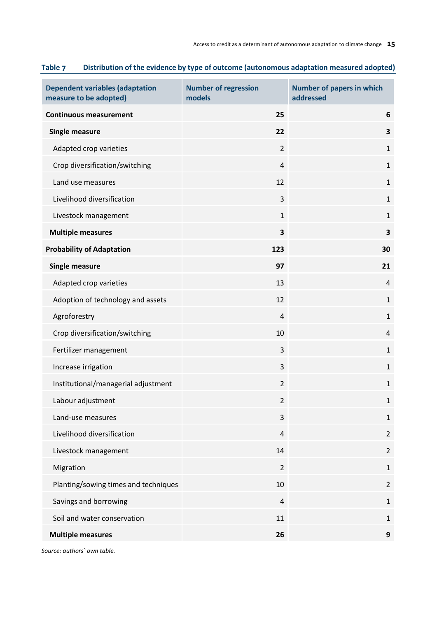| <b>Dependent variables (adaptation</b><br>measure to be adopted) | <b>Number of regression</b><br>models | <b>Number of papers in which</b><br>addressed |
|------------------------------------------------------------------|---------------------------------------|-----------------------------------------------|
| <b>Continuous measurement</b>                                    | 25                                    | 6                                             |
| <b>Single measure</b>                                            | 22                                    | $\overline{\mathbf{3}}$                       |
| Adapted crop varieties                                           | $\overline{2}$                        | $\mathbf 1$                                   |
| Crop diversification/switching                                   | $\overline{4}$                        | $\mathbf{1}$                                  |
| Land use measures                                                | 12                                    | $\mathbf{1}$                                  |
| Livelihood diversification                                       | 3                                     | $\mathbf{1}$                                  |
| Livestock management                                             | $\mathbf{1}$                          | $\mathbf{1}$                                  |
| <b>Multiple measures</b>                                         | 3                                     | $\overline{\mathbf{3}}$                       |
| <b>Probability of Adaptation</b>                                 | 123                                   | 30                                            |
| <b>Single measure</b>                                            | 97                                    | 21                                            |
| Adapted crop varieties                                           | 13                                    | $\overline{4}$                                |
| Adoption of technology and assets                                | 12                                    | $1\,$                                         |
| Agroforestry                                                     | 4                                     | $\mathbf{1}$                                  |
| Crop diversification/switching                                   | 10                                    | $\overline{4}$                                |
| Fertilizer management                                            | 3                                     | $\mathbf{1}$                                  |
| Increase irrigation                                              | 3                                     | $\mathbf{1}$                                  |
| Institutional/managerial adjustment                              | $\overline{2}$                        | $\mathbf 1$                                   |
| Labour adjustment                                                | $\overline{2}$                        | $\mathbf{1}$                                  |
| Land-use measures                                                | 3                                     | $\mathbf{1}$                                  |
| Livelihood diversification                                       | $\overline{4}$                        | $\overline{2}$                                |
| Livestock management                                             | 14                                    | $\overline{2}$                                |
| Migration                                                        | $\overline{2}$                        | $\mathbf{1}$                                  |
| Planting/sowing times and techniques                             | 10                                    | $\overline{2}$                                |
| Savings and borrowing                                            | $\overline{4}$                        | $\mathbf{1}$                                  |
| Soil and water conservation                                      | 11                                    | $\mathbf{1}$                                  |
| <b>Multiple measures</b>                                         | 26                                    | $\boldsymbol{9}$                              |

## <span id="page-22-0"></span>**Table 7 Distribution of the evidence by type of outcome (autonomous adaptation measured adopted)**

*Source: authors` own table.*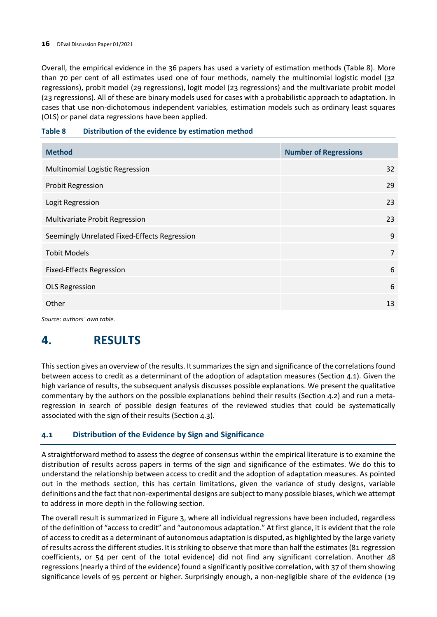Overall, the empirical evidence in the 36 papers has used a variety of estimation methods (Table 8). More than 70 per cent of all estimates used one of four methods, namely the multinomial logistic model (32 regressions), probit model (29 regressions), logit model (23 regressions) and the multivariate probit model (23 regressions). All of these are binary models used for cases with a probabilistic approach to adaptation. In cases that use non-dichotomous independent variables, estimation models such as ordinary least squares (OLS) or panel data regressions have been applied.

### <span id="page-23-2"></span>**Table 8 Distribution of the evidence by estimation method**

| <b>Method</b>                                | <b>Number of Regressions</b> |
|----------------------------------------------|------------------------------|
| Multinomial Logistic Regression              | 32                           |
| <b>Probit Regression</b>                     | 29                           |
| Logit Regression                             | 23                           |
| Multivariate Probit Regression               | 23                           |
| Seemingly Unrelated Fixed-Effects Regression | 9                            |
| <b>Tobit Models</b>                          | $\overline{7}$               |
| <b>Fixed-Effects Regression</b>              | 6                            |
| <b>OLS Regression</b>                        | 6                            |
| Other                                        | 13                           |

*Source: authors` own table.*

## <span id="page-23-0"></span>**4. RESULTS**

This section gives an overview of the results. It summarizes the sign and significance of the correlations found between access to credit as a determinant of the adoption of adaptation measures (Section 4.1). Given the high variance of results, the subsequent analysis discusses possible explanations. We present the qualitative commentary by the authors on the possible explanations behind their results (Section 4.2) and run a metaregression in search of possible design features of the reviewed studies that could be systematically associated with the sign of their results (Section 4.3).

## <span id="page-23-1"></span>**4.1 Distribution of the Evidence by Sign and Significance**

A straightforward method to assess the degree of consensus within the empirical literature is to examine the distribution of results across papers in terms of the sign and significance of the estimates. We do this to understand the relationship between access to credit and the adoption of adaptation measures. As pointed out in the methods section, this has certain limitations, given the variance of study designs, variable definitions and the fact that non-experimental designs are subject to many possible biases, which we attempt to address in more depth in the following section.

The overall result is summarized in Figure 3, where all individual regressions have been included, regardless of the definition of "access to credit" and "autonomous adaptation." At first glance, it is evident that the role of access to credit as a determinant of autonomous adaptation is disputed, as highlighted by the large variety of results across the different studies. It is striking to observe that more than half the estimates (81 regression coefficients, or 54 per cent of the total evidence) did not find any significant correlation. Another 48 regressions (nearly a third of the evidence) found a significantly positive correlation, with 37 of them showing significance levels of 95 percent or higher. Surprisingly enough, a non-negligible share of the evidence (19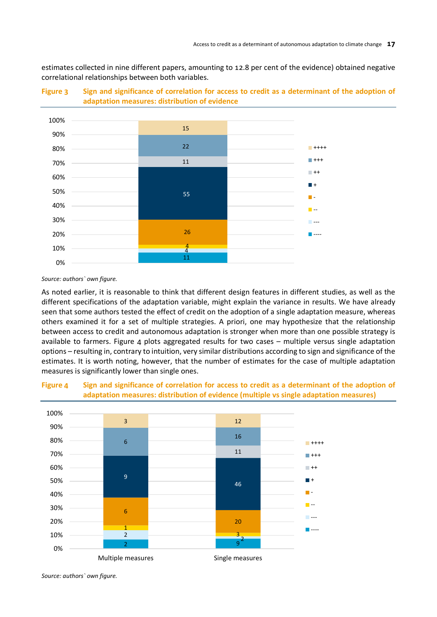estimates collected in nine different papers, amounting to 12.8 per cent of the evidence) obtained negative correlational relationships between both variables.



<span id="page-24-0"></span>

#### *Source: authors` own figure.*

As noted earlier, it is reasonable to think that different design features in different studies, as well as the different specifications of the adaptation variable, might explain the variance in results. We have already seen that some authors tested the effect of credit on the adoption of a single adaptation measure, whereas others examined it for a set of multiple strategies. A priori, one may hypothesize that the relationship between access to credit and autonomous adaptation is stronger when more than one possible strategy is available to farmers. Figure 4 plots aggregated results for two cases - multiple versus single adaptation options – resulting in, contrary to intuition, very similar distributions according to sign and significance of the estimates. It is worth noting, however, that the number of estimates for the case of multiple adaptation measures is significantly lower than single ones.



### <span id="page-24-1"></span>**Figure 4 Sign and significance of correlation for access to credit as a determinant of the adoption of adaptation measures: distribution of evidence (multiple vs single adaptation measures)**

*Source: authors` own figure.*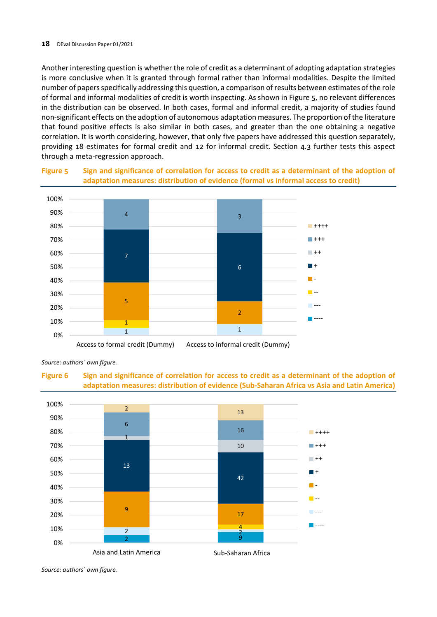Another interesting question is whether the role of credit as a determinant of adopting adaptation strategies is more conclusive when it is granted through formal rather than informal modalities. Despite the limited number of papers specifically addressing this question, a comparison of results between estimates of the role of formal and informal modalities of credit is worth inspecting. As shown in Figure 5, no relevant differences in the distribution can be observed. In both cases, formal and informal credit, a majority of studies found non-significant effects on the adoption of autonomous adaptation measures. The proportion of the literature that found positive effects is also similar in both cases, and greater than the one obtaining a negative correlation. It is worth considering, however, that only five papers have addressed this question separately, providing 18 estimates for formal credit and 12 for informal credit. Section 4.3 further tests this aspect through a meta-regression approach.



<span id="page-25-0"></span>**Figure 5 Sign and significance of correlation for access to credit as a determinant of the adoption of adaptation measures: distribution of evidence (formal vs informal access to credit)**

Access to formal credit (Dummy) Access to informal credit (Dummy)

*Source: authors` own figure.*

<span id="page-25-1"></span>



*Source: authors` own figure.*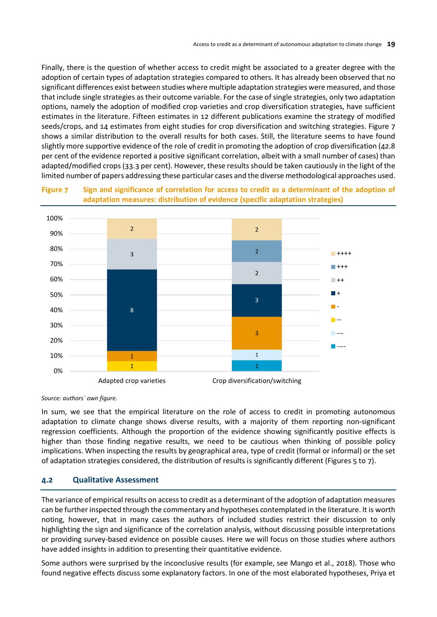Finally, there is the question of whether access to credit might be associated to a greater degree with the adoption of certain types of adaptation strategies compared to others. It has already been observed that no significant differences exist between studies where multiple adaptation strategies were measured, and those that include single strategies as their outcome variable. For the case of single strategies, only two adaptation options, namely the adoption of modified crop varieties and crop diversification strategies, have sufficient estimates in the literature. Fifteen estimates in 12 different publications examine the strategy of modified seeds/crops, and 14 estimates from eight studies for crop diversification and switching strategies. Figure 7 shows a similar distribution to the overall results for both cases. Still, the literature seems to have found slightly more supportive evidence of the role of credit in promoting the adoption of crop diversification (42.8 per cent of the evidence reported a positive significant correlation, albeit with a small number of cases) than adapted/modified crops (33.3 per cent). However, these results should be taken cautiously in the light of the limited number of papers addressing these particular cases and the diverse methodological approaches used.

<span id="page-26-1"></span>



*Source: authors` own figure.*

In sum, we see that the empirical literature on the role of access to credit in promoting autonomous adaptation to climate change shows diverse results, with a majority of them reporting non-significant regression coefficients. Although the proportion of the evidence showing significantly positive effects is higher than those finding negative results, we need to be cautious when thinking of possible policy implications. When inspecting the results by geographical area, type of credit (formal or informal) or the set of adaptation strategies considered, the distribution of results is significantly different (Figures 5 to 7).

## <span id="page-26-0"></span>**4.2 Qualitative Assessment**

The variance of empirical results on access to credit as a determinant of the adoption of adaptation measures can be further inspected through the commentary and hypotheses contemplated in the literature. It is worth noting, however, that in many cases the authors of included studies restrict their discussion to only highlighting the sign and significance of the correlation analysis, without discussing possible interpretations or providing survey-based evidence on possible causes. Here we will focus on those studies where authors have added insights in addition to presenting their quantitative evidence.

Some authors were surprised by the inconclusive results (for example, see Mango et al., 2018). Those who found negative effects discuss some explanatory factors. In one of the most elaborated hypotheses, Priya et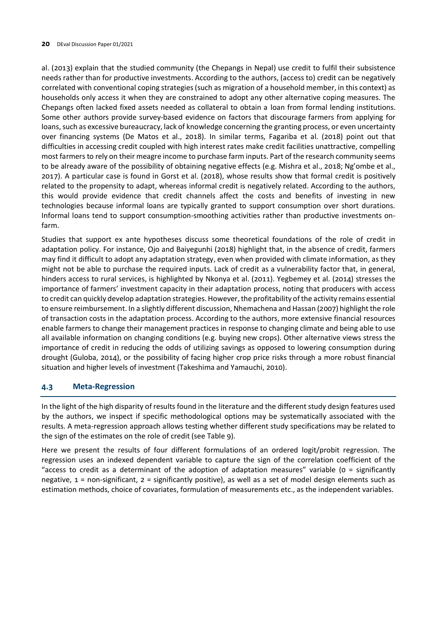al. (2013) explain that the studied community (the Chepangs in Nepal) use credit to fulfil their subsistence needs rather than for productive investments. According to the authors, (access to) credit can be negatively correlated with conventional coping strategies (such as migration of a household member, in this context) as households only access it when they are constrained to adopt any other alternative coping measures. The Chepangs often lacked fixed assets needed as collateral to obtain a loan from formal lending institutions. Some other authors provide survey-based evidence on factors that discourage farmers from applying for loans, such as excessive bureaucracy, lack of knowledge concerning the granting process, or even uncertainty over financing systems (De Matos et al., 2018). In similar terms, Fagariba et al. (2018) point out that difficulties in accessing credit coupled with high interest rates make credit facilities unattractive, compelling most farmers to rely on their meagre income to purchase farm inputs. Part of the research community seems to be already aware of the possibility of obtaining negative effects (e.g. Mishra et al., 2018; Ng'ombe et al., 2017). A particular case is found in Gorst et al. (2018), whose results show that formal credit is positively related to the propensity to adapt, whereas informal credit is negatively related. According to the authors, this would provide evidence that credit channels affect the costs and benefits of investing in new technologies because informal loans are typically granted to support consumption over short durations. Informal loans tend to support consumption-smoothing activities rather than productive investments onfarm.

Studies that support ex ante hypotheses discuss some theoretical foundations of the role of credit in adaptation policy. For instance, Ojo and Baiyegunhi (2018) highlight that, in the absence of credit, farmers may find it difficult to adopt any adaptation strategy, even when provided with climate information, as they might not be able to purchase the required inputs. Lack of credit as a vulnerability factor that, in general, hinders access to rural services, is highlighted by Nkonya et al. (2011). Yegbemey et al. (2014) stresses the importance of farmers' investment capacity in their adaptation process, noting that producers with access to credit can quickly develop adaptation strategies. However, the profitability ofthe activity remains essential to ensure reimbursement. In a slightly different discussion, Nhemachena and Hassan (2007) highlight the role of transaction costs in the adaptation process. According to the authors, more extensive financial resources enable farmers to change their management practices in response to changing climate and being able to use all available information on changing conditions (e.g. buying new crops). Other alternative views stress the importance of credit in reducing the odds of utilizing savings as opposed to lowering consumption during drought (Guloba, 2014), or the possibility of facing higher crop price risks through a more robust financial situation and higher levels of investment (Takeshima and Yamauchi, 2010).

### <span id="page-27-0"></span>**4.3 Meta-Regression**

In the light of the high disparity of results found in the literature and the different study design features used by the authors, we inspect if specific methodological options may be systematically associated with the results. A meta-regression approach allows testing whether different study specifications may be related to the sign of the estimates on the role of credit (see Table 9).

Here we present the results of four different formulations of an ordered logit/probit regression. The regression uses an indexed dependent variable to capture the sign of the correlation coefficient of the "access to credit as a determinant of the adoption of adaptation measures" variable (0 = significantly negative, 1 = non-significant, 2 = significantly positive), as well as a set of model design elements such as estimation methods, choice of covariates, formulation of measurements etc., as the independent variables.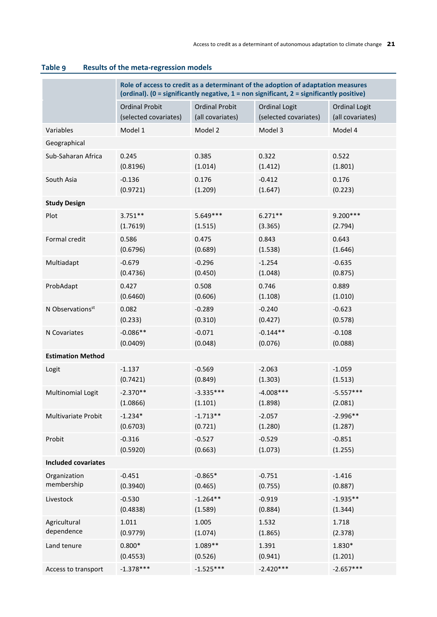|                              | Role of access to credit as a determinant of the adoption of adaptation measures<br>(ordinal). (0 = significantly negative, 1 = non significant, 2 = significantly positive) |                       |                       |                       |
|------------------------------|------------------------------------------------------------------------------------------------------------------------------------------------------------------------------|-----------------------|-----------------------|-----------------------|
|                              | <b>Ordinal Probit</b>                                                                                                                                                        | <b>Ordinal Probit</b> | <b>Ordinal Logit</b>  | <b>Ordinal Logit</b>  |
|                              | (selected covariates)                                                                                                                                                        | (all covariates)      | (selected covariates) | (all covariates)      |
| Variables                    | Model 1                                                                                                                                                                      | Model 2               | Model 3               | Model 4               |
| Geographical                 |                                                                                                                                                                              |                       |                       |                       |
| Sub-Saharan Africa           | 0.245                                                                                                                                                                        | 0.385                 | 0.322                 | 0.522                 |
|                              | (0.8196)                                                                                                                                                                     | (1.014)               | (1.412)               | (1.801)               |
| South Asia                   | $-0.136$                                                                                                                                                                     | 0.176                 | $-0.412$              | 0.176                 |
|                              | (0.9721)                                                                                                                                                                     | (1.209)               | (1.647)               | (0.223)               |
| <b>Study Design</b>          |                                                                                                                                                                              |                       |                       |                       |
| Plot                         | $3.751**$                                                                                                                                                                    | 5.649 ***             | $6.271**$             | $9.200***$            |
|                              | (1.7619)                                                                                                                                                                     | (1.515)               | (3.365)               | (2.794)               |
| Formal credit                | 0.586                                                                                                                                                                        | 0.475                 | 0.843                 | 0.643                 |
|                              | (0.6796)                                                                                                                                                                     | (0.689)               | (1.538)               | (1.646)               |
| Multiadapt                   | $-0.679$                                                                                                                                                                     | $-0.296$              | $-1.254$              | $-0.635$              |
|                              | (0.4736)                                                                                                                                                                     | (0.450)               | (1.048)               | (0.875)               |
| ProbAdapt                    | 0.427                                                                                                                                                                        | 0.508                 | 0.746                 | 0.889                 |
|                              | (0.6460)                                                                                                                                                                     | (0.606)               | (1.108)               | (1.010)               |
| N Observations <sup>st</sup> | 0.082                                                                                                                                                                        | $-0.289$              | $-0.240$              | $-0.623$              |
|                              | (0.233)                                                                                                                                                                      | (0.310)               | (0.427)               | (0.578)               |
| N Covariates                 | $-0.086**$                                                                                                                                                                   | $-0.071$              | $-0.144**$            | $-0.108$              |
|                              | (0.0409)                                                                                                                                                                     | (0.048)               | (0.076)               | (0.088)               |
| <b>Estimation Method</b>     |                                                                                                                                                                              |                       |                       |                       |
| Logit                        | $-1.137$                                                                                                                                                                     | $-0.569$              | $-2.063$              | $-1.059$              |
|                              | (0.7421)                                                                                                                                                                     | (0.849)               | (1.303)               | (1.513)               |
| Multinomial Logit            | $-2.370**$                                                                                                                                                                   | $-3.335***$           | $-4.008***$           | $-5.557***$           |
|                              | (1.0866)                                                                                                                                                                     | (1.101)               | (1.898)               | (2.081)               |
| Multivariate Probit          | $-1.234*$                                                                                                                                                                    | $-1.713**$            | $-2.057$              | $-2.996**$            |
|                              | (0.6703)                                                                                                                                                                     | (0.721)               | (1.280)               | (1.287)               |
| Probit                       | $-0.316$                                                                                                                                                                     | $-0.527$              | $-0.529$              | $-0.851$              |
|                              | (0.5920)                                                                                                                                                                     | (0.663)               | (1.073)               | (1.255)               |
| <b>Included covariates</b>   |                                                                                                                                                                              |                       |                       |                       |
| Organization<br>membership   | $-0.451$                                                                                                                                                                     | $-0.865*$             | $-0.751$              | $-1.416$              |
|                              | (0.3940)                                                                                                                                                                     | (0.465)               | (0.755)               | (0.887)               |
| Livestock                    | $-0.530$<br>(0.4838)                                                                                                                                                         | $-1.264**$<br>(1.589) | $-0.919$<br>(0.884)   | $-1.935**$<br>(1.344) |
| Agricultural                 | 1.011                                                                                                                                                                        | 1.005                 | 1.532                 | 1.718                 |
| dependence                   | (0.9779)                                                                                                                                                                     | (1.074)               | (1.865)               | (2.378)               |
| Land tenure                  | $0.800*$                                                                                                                                                                     | $1.089**$             | 1.391                 | 1.830*                |
|                              | (0.4553)                                                                                                                                                                     | (0.526)               | (0.941)               | (1.201)               |
| Access to transport          | $-1.378***$                                                                                                                                                                  | $-1.525***$           | $-2.420***$           | $-2.657***$           |

## <span id="page-28-0"></span>**Table 9 Results of the meta-regression models**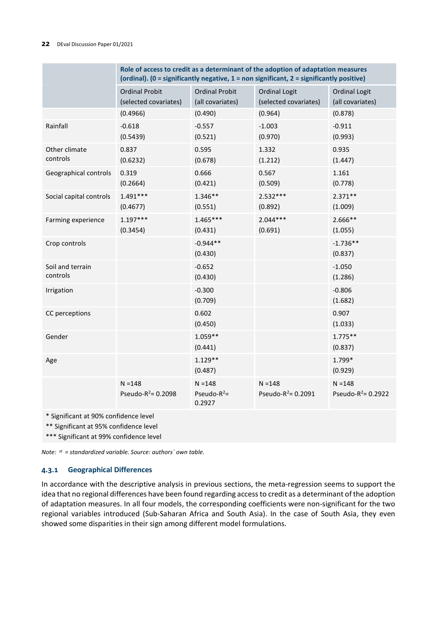|                              | Role of access to credit as a determinant of the adoption of adaptation measures<br>(ordinal). (0 = significantly negative, 1 = non significant, 2 = significantly positive) |                                           |                                               |                                          |
|------------------------------|------------------------------------------------------------------------------------------------------------------------------------------------------------------------------|-------------------------------------------|-----------------------------------------------|------------------------------------------|
|                              | <b>Ordinal Probit</b><br>(selected covariates)                                                                                                                               | <b>Ordinal Probit</b><br>(all covariates) | <b>Ordinal Logit</b><br>(selected covariates) | <b>Ordinal Logit</b><br>(all covariates) |
|                              | (0.4966)                                                                                                                                                                     | (0.490)                                   | (0.964)                                       | (0.878)                                  |
| Rainfall                     | $-0.618$<br>(0.5439)                                                                                                                                                         | $-0.557$<br>(0.521)                       | $-1.003$<br>(0.970)                           | $-0.911$<br>(0.993)                      |
| Other climate<br>controls    | 0.837<br>(0.6232)                                                                                                                                                            | 0.595<br>(0.678)                          | 1.332<br>(1.212)                              | 0.935<br>(1.447)                         |
| Geographical controls        | 0.319<br>(0.2664)                                                                                                                                                            | 0.666<br>(0.421)                          | 0.567<br>(0.509)                              | 1.161<br>(0.778)                         |
| Social capital controls      | $1.491***$<br>(0.4677)                                                                                                                                                       | $1.346**$<br>(0.551)                      | $2.532***$<br>(0.892)                         | $2.371**$<br>(1.009)                     |
| Farming experience           | $1.197***$<br>(0.3454)                                                                                                                                                       | $1.465***$<br>(0.431)                     | $2.044***$<br>(0.691)                         | $2.666**$<br>(1.055)                     |
| Crop controls                |                                                                                                                                                                              | $-0.944**$<br>(0.430)                     |                                               | $-1.736**$<br>(0.837)                    |
| Soil and terrain<br>controls |                                                                                                                                                                              | $-0.652$<br>(0.430)                       |                                               | $-1.050$<br>(1.286)                      |
| Irrigation                   |                                                                                                                                                                              | $-0.300$<br>(0.709)                       |                                               | $-0.806$<br>(1.682)                      |
| CC perceptions               |                                                                                                                                                                              | 0.602<br>(0.450)                          |                                               | 0.907<br>(1.033)                         |
| Gender                       |                                                                                                                                                                              | $1.059**$<br>(0.441)                      |                                               | $1.775**$<br>(0.837)                     |
| Age                          |                                                                                                                                                                              | $1.129**$<br>(0.487)                      |                                               | 1.799*<br>(0.929)                        |
|                              | $N = 148$<br>Pseudo- $R^2$ = 0.2098                                                                                                                                          | $N = 148$<br>Pseudo- $R^2$ =<br>0.2927    | $N = 148$<br>Pseudo- $R^2$ = 0.2091           | $N = 148$<br>Pseudo- $R^2$ = 0.2922      |

\* Significant at 90% confidence level

\*\* Significant at 95% confidence level

\*\*\* Significant at 99% confidence level

*Note: st = standardized variable. Source: authors` own table.*

### <span id="page-29-0"></span>**4.3.1 Geographical Differences**

In accordance with the descriptive analysis in previous sections, the meta-regression seems to support the idea that no regional differences have been found regarding access to credit as a determinant of the adoption of adaptation measures. In all four models, the corresponding coefficients were non-significant for the two regional variables introduced (Sub-Saharan Africa and South Asia). In the case of South Asia, they even showed some disparities in their sign among different model formulations.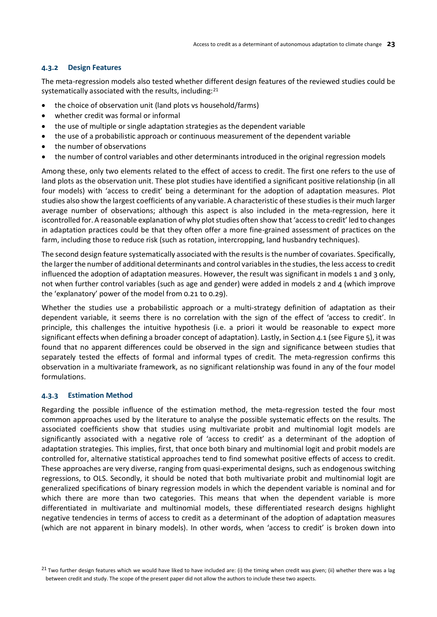### <span id="page-30-0"></span>**4.3.2 Design Features**

The meta-regression models also tested whether different design features of the reviewed studies could be systematically associated with the results, including:<sup>[21](#page-30-2)</sup>

- the choice of observation unit (land plots vs household/farms)
- whether credit was formal or informal
- the use of multiple or single adaptation strategies as the dependent variable
- the use of a probabilistic approach or continuous measurement of the dependent variable
- the number of observations
- the number of control variables and other determinants introduced in the original regression models

Among these, only two elements related to the effect of access to credit. The first one refers to the use of land plots as the observation unit. These plot studies have identified a significant positive relationship (in all four models) with 'access to credit' being a determinant for the adoption of adaptation measures. Plot studies also show the largest coefficients of any variable. A characteristic of these studies is their much larger average number of observations; although this aspect is also included in the meta-regression, here it iscontrolled for. A reasonable explanation of why plot studies often show that 'access to credit' led to changes in adaptation practices could be that they often offer a more fine-grained assessment of practices on the farm, including those to reduce risk (such as rotation, intercropping, land husbandry techniques).

The second design feature systematically associated with the results is the number of covariates. Specifically, the larger the number of additional determinants and control variables in the studies, the less access to credit influenced the adoption of adaptation measures. However, the result was significant in models 1 and 3 only, not when further control variables (such as age and gender) were added in models 2 and 4 (which improve the 'explanatory' power of the model from 0.21 to 0.29).

Whether the studies use a probabilistic approach or a multi-strategy definition of adaptation as their dependent variable, it seems there is no correlation with the sign of the effect of 'access to credit'. In principle, this challenges the intuitive hypothesis (i.e. a priori it would be reasonable to expect more significant effects when defining a broader concept of adaptation). Lastly, in Section 4.1 (see Figure 5), it was found that no apparent differences could be observed in the sign and significance between studies that separately tested the effects of formal and informal types of credit. The meta-regression confirms this observation in a multivariate framework, as no significant relationship was found in any of the four model formulations.

### <span id="page-30-1"></span>**4.3.3 Estimation Method**

Regarding the possible influence of the estimation method, the meta-regression tested the four most common approaches used by the literature to analyse the possible systematic effects on the results. The associated coefficients show that studies using multivariate probit and multinomial logit models are significantly associated with a negative role of 'access to credit' as a determinant of the adoption of adaptation strategies. This implies, first, that once both binary and multinomial logit and probit models are controlled for, alternative statistical approaches tend to find somewhat positive effects of access to credit. These approaches are very diverse, ranging from quasi-experimental designs, such as endogenous switching regressions, to OLS. Secondly, it should be noted that both multivariate probit and multinomial logit are generalized specifications of binary regression models in which the dependent variable is nominal and for which there are more than two categories. This means that when the dependent variable is more differentiated in multivariate and multinomial models, these differentiated research designs highlight negative tendencies in terms of access to credit as a determinant of the adoption of adaptation measures (which are not apparent in binary models). In other words, when 'access to credit' is broken down into

<span id="page-30-2"></span> $21$  Two further design features which we would have liked to have included are: (i) the timing when credit was given; (ii) whether there was a lag between credit and study. The scope of the present paper did not allow the authors to include these two aspects.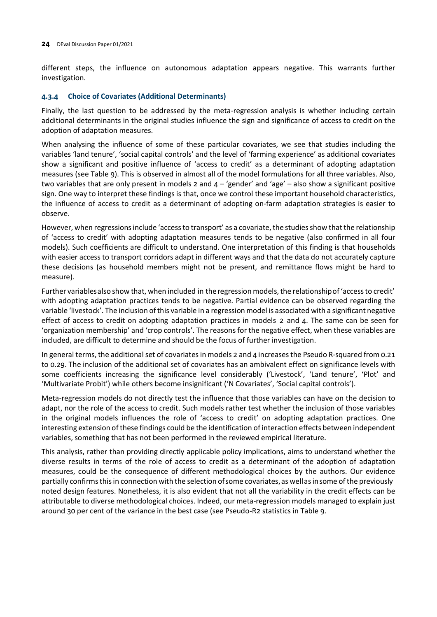different steps, the influence on autonomous adaptation appears negative. This warrants further investigation.

### <span id="page-31-0"></span>**4.3.4 Choice of Covariates (Additional Determinants)**

Finally, the last question to be addressed by the meta-regression analysis is whether including certain additional determinants in the original studies influence the sign and significance of access to credit on the adoption of adaptation measures.

When analysing the influence of some of these particular covariates, we see that studies including the variables 'land tenure', 'social capital controls' and the level of 'farming experience' as additional covariates show a significant and positive influence of 'access to credit' as a determinant of adopting adaptation measures (see Table 9). This is observed in almost all of the model formulations for all three variables. Also, two variables that are only present in models 2 and  $4 -$  gender' and 'age' – also show a significant positive sign. One way to interpret these findings is that, once we control these important household characteristics, the influence of access to credit as a determinant of adopting on-farm adaptation strategies is easier to observe.

However, when regressions include 'access to transport' as a covariate, the studies show that the relationship of 'access to credit' with adopting adaptation measures tends to be negative (also confirmed in all four models). Such coefficients are difficult to understand. One interpretation of this finding is that households with easier access to transport corridors adapt in different ways and that the data do not accurately capture these decisions (as household members might not be present, and remittance flows might be hard to measure).

Further variablesalso show that, when included in the regression models, the relationshipof 'access to credit' with adopting adaptation practices tends to be negative. Partial evidence can be observed regarding the variable 'livestock'. The inclusion of this variable in a regression model is associated with a significant negative effect of access to credit on adopting adaptation practices in models 2 and 4. The same can be seen for 'organization membership' and 'crop controls'. The reasons for the negative effect, when these variables are included, are difficult to determine and should be the focus of further investigation.

In general terms, the additional set of covariates in models 2 and 4 increases the Pseudo R-squared from 0.21 to 0.29. The inclusion of the additional set of covariates has an ambivalent effect on significance levels with some coefficients increasing the significance level considerably ('Livestock', 'Land tenure', 'Plot' and 'Multivariate Probit') while others become insignificant ('N Covariates', 'Social capital controls').

Meta-regression models do not directly test the influence that those variables can have on the decision to adapt, nor the role of the access to credit. Such models rather test whether the inclusion of those variables in the original models influences the role of 'access to credit' on adopting adaptation practices. One interesting extension of these findings could be the identification of interaction effects between independent variables, something that has not been performed in the reviewed empirical literature.

This analysis, rather than providing directly applicable policy implications, aims to understand whether the diverse results in terms of the role of access to credit as a determinant of the adoption of adaptation measures, could be the consequence of different methodological choices by the authors. Our evidence partially confirmsthisin connection with the selection ofsome covariates,as wellas insome of the previously noted design features. Nonetheless, it is also evident that not all the variability in the credit effects can be attributable to diverse methodological choices. Indeed, our meta-regression models managed to explain just around 30 per cent of the variance in the best case (see Pseudo-R2 statistics in Table 9.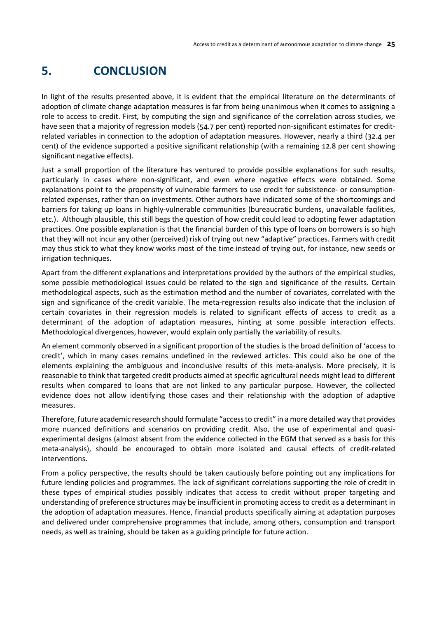## <span id="page-32-0"></span>**5. CONCLUSION**

In light of the results presented above, it is evident that the empirical literature on the determinants of adoption of climate change adaptation measures is far from being unanimous when it comes to assigning a role to access to credit. First, by computing the sign and significance of the correlation across studies, we have seen that a majority of regression models (54.7 per cent) reported non-significant estimates for creditrelated variables in connection to the adoption of adaptation measures. However, nearly a third (32.4 per cent) of the evidence supported a positive significant relationship (with a remaining 12.8 per cent showing significant negative effects).

Just a small proportion of the literature has ventured to provide possible explanations for such results, particularly in cases where non-significant, and even where negative effects were obtained. Some explanations point to the propensity of vulnerable farmers to use credit for subsistence- or consumptionrelated expenses, rather than on investments. Other authors have indicated some of the shortcomings and barriers for taking up loans in highly-vulnerable communities (bureaucratic burdens, unavailable facilities, etc.). Although plausible, this still begs the question of how credit could lead to adopting fewer adaptation practices. One possible explanation is that the financial burden of this type of loans on borrowers is so high that they will not incur any other (perceived) risk of trying out new "adaptive" practices. Farmers with credit may thus stick to what they know works most of the time instead of trying out, for instance, new seeds or irrigation techniques.

Apart from the different explanations and interpretations provided by the authors of the empirical studies, some possible methodological issues could be related to the sign and significance of the results. Certain methodological aspects, such as the estimation method and the number of covariates, correlated with the sign and significance of the credit variable. The meta-regression results also indicate that the inclusion of certain covariates in their regression models is related to significant effects of access to credit as a determinant of the adoption of adaptation measures, hinting at some possible interaction effects. Methodological divergences, however, would explain only partially the variability of results.

An element commonly observed in a significant proportion of the studies is the broad definition of 'access to credit', which in many cases remains undefined in the reviewed articles. This could also be one of the elements explaining the ambiguous and inconclusive results of this meta-analysis. More precisely, it is reasonable to think that targeted credit products aimed at specific agricultural needs might lead to different results when compared to loans that are not linked to any particular purpose. However, the collected evidence does not allow identifying those cases and their relationship with the adoption of adaptive measures.

Therefore, future academic research should formulate "access to credit" in a more detailed way that provides more nuanced definitions and scenarios on providing credit. Also, the use of experimental and quasiexperimental designs (almost absent from the evidence collected in the EGM that served as a basis for this meta-analysis), should be encouraged to obtain more isolated and causal effects of credit-related interventions.

From a policy perspective, the results should be taken cautiously before pointing out any implications for future lending policies and programmes. The lack of significant correlations supporting the role of credit in these types of empirical studies possibly indicates that access to credit without proper targeting and understanding of preference structures may be insufficient in promoting access to credit as a determinant in the adoption of adaptation measures. Hence, financial products specifically aiming at adaptation purposes and delivered under comprehensive programmes that include, among others, consumption and transport needs, as well as training, should be taken as a guiding principle for future action.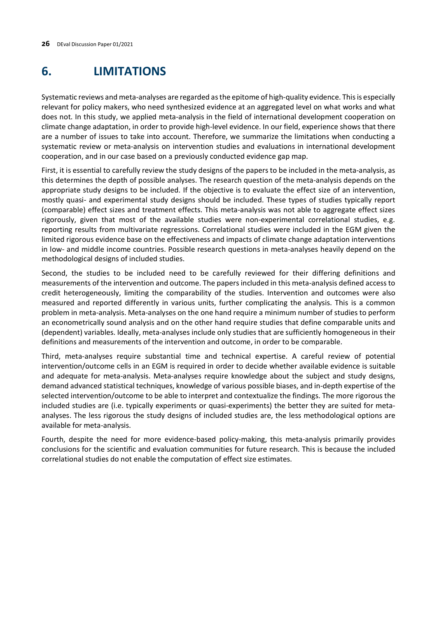## <span id="page-33-0"></span>**6. LIMITATIONS**

Systematic reviews and meta-analyses are regarded as the epitome of high-quality evidence. Thisis especially relevant for policy makers, who need synthesized evidence at an aggregated level on what works and what does not. In this study, we applied meta-analysis in the field of international development cooperation on climate change adaptation, in order to provide high-level evidence. In our field, experience shows that there are a number of issues to take into account. Therefore, we summarize the limitations when conducting a systematic review or meta-analysis on intervention studies and evaluations in international development cooperation, and in our case based on a previously conducted evidence gap map.

First, it is essential to carefully review the study designs of the papers to be included in the meta-analysis, as this determines the depth of possible analyses. The research question of the meta-analysis depends on the appropriate study designs to be included. If the objective is to evaluate the effect size of an intervention, mostly quasi- and experimental study designs should be included. These types of studies typically report (comparable) effect sizes and treatment effects. This meta-analysis was not able to aggregate effect sizes rigorously, given that most of the available studies were non-experimental correlational studies, e.g. reporting results from multivariate regressions. Correlational studies were included in the EGM given the limited rigorous evidence base on the effectiveness and impacts of climate change adaptation interventions in low- and middle income countries. Possible research questions in meta-analyses heavily depend on the methodological designs of included studies.

Second, the studies to be included need to be carefully reviewed for their differing definitions and measurements of the intervention and outcome. The papers included in this meta-analysis defined access to credit heterogeneously, limiting the comparability of the studies. Intervention and outcomes were also measured and reported differently in various units, further complicating the analysis. This is a common problem in meta-analysis. Meta-analyses on the one hand require a minimum number of studies to perform an econometrically sound analysis and on the other hand require studies that define comparable units and (dependent) variables. Ideally, meta-analyses include only studies that are sufficiently homogeneous in their definitions and measurements of the intervention and outcome, in order to be comparable.

Third, meta-analyses require substantial time and technical expertise. A careful review of potential intervention/outcome cells in an EGM is required in order to decide whether available evidence is suitable and adequate for meta-analysis. Meta-analyses require knowledge about the subject and study designs, demand advanced statistical techniques, knowledge of various possible biases, and in-depth expertise of the selected intervention/outcome to be able to interpret and contextualize the findings. The more rigorous the included studies are (i.e. typically experiments or quasi-experiments) the better they are suited for metaanalyses. The less rigorous the study designs of included studies are, the less methodological options are available for meta-analysis.

Fourth, despite the need for more evidence-based policy-making, this meta-analysis primarily provides conclusions for the scientific and evaluation communities for future research. This is because the included correlational studies do not enable the computation of effect size estimates.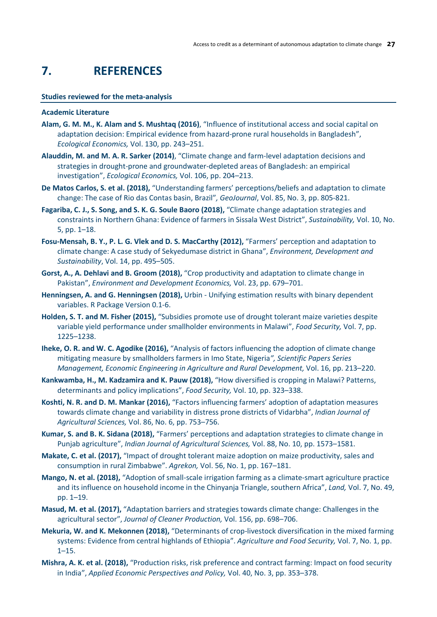## <span id="page-34-0"></span>**7. REFERENCES**

#### **Studies reviewed for the meta-analysis**

#### **Academic Literature**

- **Alam, G. M. M., K. Alam and S. Mushtaq (2016)**, "Influence of institutional access and social capital on adaptation decision: Empirical evidence from hazard-prone rural households in Bangladesh", *Ecological Economics,* Vol. 130, pp. 243–251.
- **Alauddin, M. and M. A. R. Sarker (2014)**, "Climate change and farm-level adaptation decisions and strategies in drought-prone and groundwater-depleted areas of Bangladesh: an empirical investigation", *Ecological Economics,* Vol. 106, pp. 204–213.
- **De Matos Carlos, S. et al. (2018),** "Understanding farmers' perceptions/beliefs and adaptation to climate change: The case of Rio das Contas basin, Brazil"*, GeoJournal*, Vol. 85, No. 3, pp. 805-821.
- **Fagariba, C. J., S. Song, and S. K. G. Soule Baoro (2018),** "Climate change adaptation strategies and constraints in Northern Ghana: Evidence of farmers in Sissala West District", *Sustainability,* Vol. 10, No. 5, pp. 1–18.
- **Fosu-Mensah, B. Y., P. L. G. Vlek and D. S. MacCarthy (2012),** "Farmers' perception and adaptation to climate change: A case study of Sekyedumase district in Ghana", *Environment, Development and Sustainability*, Vol. 14, pp. 495–505.
- **Gorst, A., A. Dehlavi and B. Groom (2018),** "Crop productivity and adaptation to climate change in Pakistan", *Environment and Development Economics,* Vol. 23, pp. 679–701.
- **Henningsen, A. and G. Henningsen (2018),** Urbin Unifying estimation results with binary dependent variables. R Package Version 0.1-6.
- **Holden, S. T. and M. Fisher (2015),** "Subsidies promote use of drought tolerant maize varieties despite variable yield performance under smallholder environments in Malawi", *Food Security,* Vol. 7, pp. 1225–1238.
- **Iheke, O. R. and W. C. Agodike (2016),** "Analysis of factors influencing the adoption of climate change mitigating measure by smallholders farmers in Imo State, Nigeria*", Scientific Papers Series Management, Economic Engineering in Agriculture and Rural Development,* Vol. 16, pp. 213–220.
- **Kankwamba, H., M. Kadzamira and K. Pauw (2018),** "How diversified is cropping in Malawi? Patterns, determinants and policy implications", *Food Security,* Vol. 10, pp. 323–338.
- **Koshti, N. R. and D. M. Mankar (2016),** "Factors influencing farmers' adoption of adaptation measures towards climate change and variability in distress prone districts of Vidarbha", *Indian Journal of Agricultural Sciences,* Vol. 86, No. 6, pp. 753–756.
- **Kumar, S. and B. K. Sidana (2018),** "Farmers' perceptions and adaptation strategies to climate change in Punjab agriculture", *Indian Journal of Agricultural Sciences,* Vol. 88, No. 10, pp. 1573–1581.
- **Makate, C. et al. (2017),** "Impact of drought tolerant maize adoption on maize productivity, sales and consumption in rural Zimbabwe". *Agrekon,* Vol. 56, No. 1, pp. 167–181.
- **Mango, N. et al. (2018),** "Adoption of small-scale irrigation farming as a climate-smart agriculture practice and its influence on household income in the Chinyanja Triangle, southern Africa", *Land,* Vol. 7, No. 49, pp. 1–19.
- **Masud, M. et al. (2017),** "Adaptation barriers and strategies towards climate change: Challenges in the agricultural sector", *Journal of Cleaner Production,* Vol. 156, pp. 698–706.
- **Mekuria, W. and K. Mekonnen (2018),** "Determinants of crop-livestock diversification in the mixed farming systems: Evidence from central highlands of Ethiopia". *Agriculture and Food Security,* Vol. 7, No. 1, pp. 1–15.
- **Mishra, A. K. et al. (2018),** "Production risks, risk preference and contract farming: Impact on food security in India", *Applied Economic Perspectives and Policy,* Vol. 40, No. 3, pp. 353–378.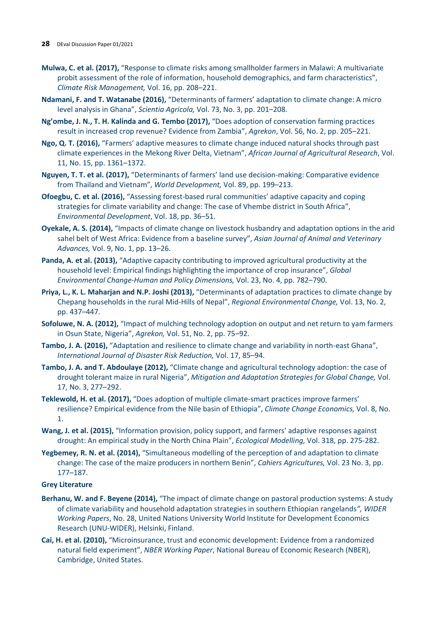- **Mulwa, C. et al. (2017),** "Response to climate risks among smallholder farmers in Malawi: A multivariate probit assessment of the role of information, household demographics, and farm characteristics", *Climate Risk Management,* Vol. 16, pp. 208–221.
- **Ndamani, F. and T. Watanabe (2016),** "Determinants of farmers' adaptation to climate change: A micro level analysis in Ghana", *Scientia Agricola,* Vol. 73, No. 3, pp. 201–208.
- **Ng'ombe, J. N., T. H. Kalinda and G. Tembo (2017),** "Does adoption of conservation farming practices result in increased crop revenue? Evidence from Zambia", *Agrekon*, Vol. 56, No. 2, pp. 205–221.
- **Ngo, Q. T. (2016),** "Farmers' adaptive measures to climate change induced natural shocks through past climate experiences in the Mekong River Delta, Vietnam", *African Journal of Agricultural Research*, Vol. 11, No. 15, pp. 1361–1372.
- **Nguyen, T. T. et al. (2017),** "Determinants of farmers' land use decision-making: Comparative evidence from Thailand and Vietnam", *World Development,* Vol. 89, pp. 199–213.
- **Ofoegbu, C. et al. (2016),** "Assessing forest-based rural communities' adaptive capacity and coping strategies for climate variability and change: The case of Vhembe district in South Africa", *Environmental Development*, Vol. 18, pp. 36–51.
- **Oyekale, A. S. (2014),** "Impacts of climate change on livestock husbandry and adaptation options in the arid sahel belt of West Africa: Evidence from a baseline survey", *Asian Journal of Animal and Veterinary Advances,* Vol. 9, No. 1, pp. 13–26.
- Panda, A. et al. (2013), "Adaptive capacity contributing to improved agricultural productivity at the household level: Empirical findings highlighting the importance of crop insurance", *Global Environmental Change-Human and Policy Dimensions,* Vol. 23, No. 4, pp. 782–790.
- **Priya, L., K. L. Maharjan and N.P. Joshi (2013),** "Determinants of adaptation practices to climate change by Chepang households in the rural Mid-Hills of Nepal", *Regional Environmental Change,* Vol. 13, No. 2, pp. 437–447.
- **Sofoluwe, N. A. (2012),** "Impact of mulching technology adoption on output and net return to yam farmers in Osun State, Nigeria", *Agrekon,* Vol. 51, No. 2, pp. 75–92.
- **Tambo, J. A. (2016),** "Adaptation and resilience to climate change and variability in north-east Ghana", *International Journal of Disaster Risk Reduction,* Vol. 17, 85–94.
- **Tambo, J. A. and T. Abdoulaye (2012),** "Climate change and agricultural technology adoption: the case of drought tolerant maize in rural Nigeria", *Mitigation and Adaptation Strategies for Global Change,* Vol. 17, No. 3, 277–292.
- **Teklewold, H. et al. (2017),** "Does adoption of multiple climate-smart practices improve farmers' resilience? Empirical evidence from the Nile basin of Ethiopia", *Climate Change Economics,* Vol. 8, No. 1.
- **Wang, J. et al. (2015),** "Information provision, policy support, and farmers' adaptive responses against drought: An empirical study in the North China Plain", *Ecological Modelling,* Vol. 318, pp. 275-282.
- **Yegbemey, R. N. et al. (2014),** "Simultaneous modelling of the perception of and adaptation to climate change: The case of the maize producers in northern Benin", *Cahiers Agricultures,* Vol. 23 No. 3, pp. 177–187.

### **Grey Literature**

- **Berhanu, W. and F. Beyene (2014),** "The impact of climate change on pastoral production systems: A study of climate variability and household adaptation strategies in southern Ethiopian rangelands*", WIDER Working Papers*, No. 28, United Nations University World Institute for Development Economics Research (UNU-WIDER), Helsinki, Finland.
- **Cai, H. et al. (2010),** "Microinsurance, trust and economic development: Evidence from a randomized natural field experiment", *NBER Working Paper*, National Bureau of Economic Research (NBER), Cambridge, United States.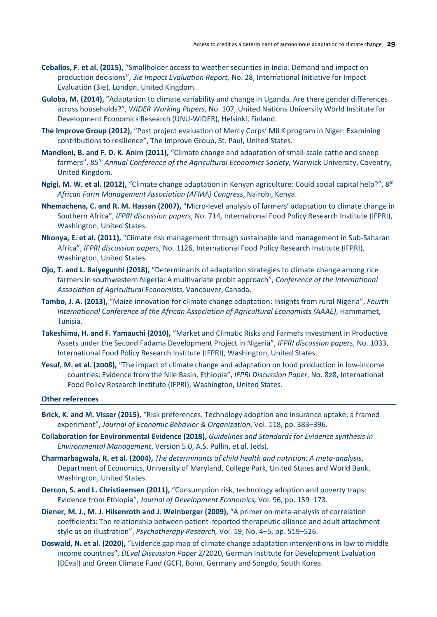- **Ceballos, F. et al. (2015),** "Smallholder access to weather securities in India: Demand and impact on production decisions", *3ie Impact Evaluation Report*, No. 28, International Initiative for Impact Evaluation (3ie), London, United Kingdom.
- **Guloba, M. (2014),** "Adaptation to climate variability and change in Uganda. Are there gender differences across households?", *WIDER Working Papers*, No. 107, United Nations University World Institute for Development Economics Research (UNU-WIDER), Helsinki, Finland.
- **The Improve Group (2012),** "Post project evaluation of Mercy Corps' MILK program in Niger: Examining contributions to resilience", The Improve Group, St. Paul, United States.
- **Mandleni, B. and F. D. K. Anim (2011),** "Climate change and adaptation of small-scale cattle and sheep farmers", *85th Annual Conference of the Agricultural Economics Society*, Warwick University, Coventry, United Kingdom.
- **Ngigi, M. W. et al. (2012),** "Climate change adaptation in Kenyan agriculture: Could social capital help?", *8th African Farm Management Association (AFMA) Congress*, Nairobi, Kenya.
- **Nhemachena, C. and R. M. Hassan (2007),** "Micro-level analysis of farmers' adaptation to climate change in Southern Africa", *IFPRI discussion papers*, No. 714, International Food Policy Research Institute (IFPRI), Washington, United States.
- **Nkonya, E. et al. (2011),** "Climate risk management through sustainable land management in Sub-Saharan Africa", *IFPRI discussion papers*, No. 1126, International Food Policy Research Institute (IFPRI), Washington, United States.
- **Ojo, T. and L. Baiyegunhi (2018),** "Determinants of adaptation strategies to climate change among rice farmers in southwestern Nigeria: A multivariate probit approach", *Conference of the International Association of Agricultural Economists*, Vancouver, Canada.
- **Tambo, J. A. (2013),** "Maize innovation for climate change adaptation: Insights from rural Nigeria", *Fourth International Conference of the African Association of Agricultural Economists (AAAE)*, Hammamet, Tunisia.
- **Takeshima, H. and F. Yamauchi (2010),** "Market and Climatic Risks and Farmers Investment in Productive Assets under the Second Fadama Development Project in Nigeria", *IFPRI discussion papers*, No. 1033, International Food Policy Research Institute (IFPRI), Washington, United States.
- **Yesuf, M. et al. (2008),** "The impact of climate change and adaptation on food production in low-income countries: Evidence from the Nile Basin, Ethiopia", *IFPRI Discussion Paper*, No. 828, International Food Policy Research Institute (IFPRI), Washington, United States.

#### **Other references**

- **Brick, K. and M. Visser (2015),** "Risk preferences. Technology adoption and insurance uptake: a framed experiment", *Journal of Economic Behavior & Organization*, Vol. 118, pp. 383–396.
- **Collaboration for Environmental Evidence (2018),** *Guidelines and Standards for Evidence synthesis in Environmental Management*, Version 5.0, A.S. Pullin, et al. (eds).
- **Charmarbagwala, R. et al. (2004),** *The determinants of child health and nutrition: A meta-analysis*, Department of Economics, University of Maryland, College Park, United States and World Bank, Washington, United States.
- **Dercon, S. and L. Christiaensen (2011),** "Consumption risk, technology adoption and poverty traps: Evidence from Ethiopia", *Journal of Development Economics,* Vol. 96, pp. 159–173.
- **Diener, M. J., M. J. Hilsenroth and J. Weinberger (2009),** "A primer on meta-analysis of correlation coefficients: The relationship between patient-reported therapeutic alliance and adult attachment style as an illustration", *Psychotherapy Research,* Vol. 19, No. 4–5, pp. 519–526.
- **Doswald, N. et al. (2020),** "Evidence gap map of climate change adaptation interventions in low to middle income countries", *DEval Discussion Paper* 2/2020, German Institute for Development Evaluation (DEval) and Green Climate Fund (GCF), Bonn, Germany and Songdo, South Korea.